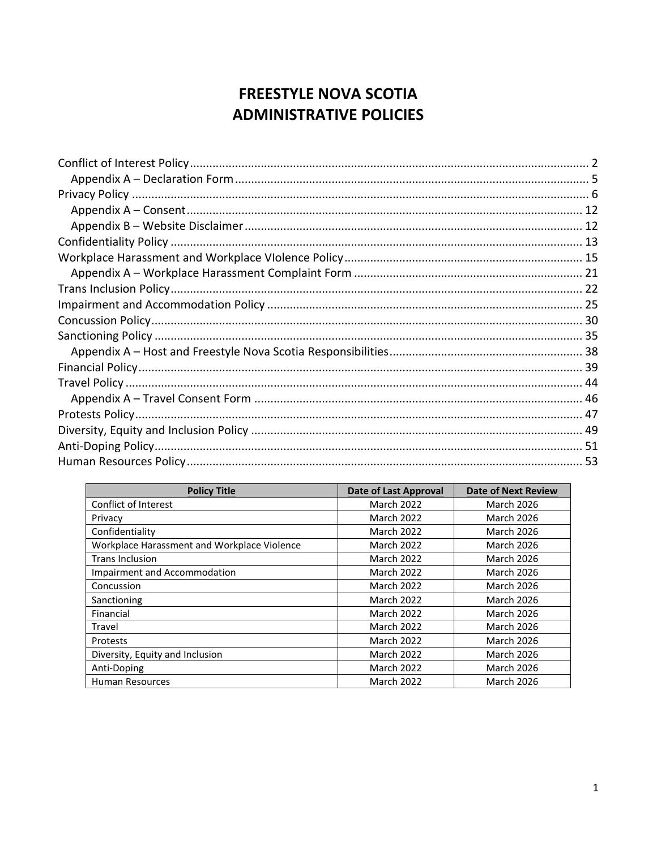# **FREESTYLE NOVA SCOTIA ADMINISTRATIVE POLICIES**

| <b>Policy Title</b>                         | <b>Date of Last Approval</b> | <b>Date of Next Review</b> |
|---------------------------------------------|------------------------------|----------------------------|
| Conflict of Interest                        | <b>March 2022</b>            | <b>March 2026</b>          |
| Privacy                                     | <b>March 2022</b>            | <b>March 2026</b>          |
| Confidentiality                             | <b>March 2022</b>            | <b>March 2026</b>          |
| Workplace Harassment and Workplace Violence | <b>March 2022</b>            | <b>March 2026</b>          |
| <b>Trans Inclusion</b>                      | <b>March 2022</b>            | <b>March 2026</b>          |
| Impairment and Accommodation                | <b>March 2022</b>            | <b>March 2026</b>          |
| Concussion                                  | <b>March 2022</b>            | <b>March 2026</b>          |
| Sanctioning                                 | <b>March 2022</b>            | <b>March 2026</b>          |
| Financial                                   | <b>March 2022</b>            | <b>March 2026</b>          |
| Travel                                      | <b>March 2022</b>            | <b>March 2026</b>          |
| Protests                                    | <b>March 2022</b>            | <b>March 2026</b>          |
| Diversity, Equity and Inclusion             | <b>March 2022</b>            | <b>March 2026</b>          |
| Anti-Doping                                 | <b>March 2022</b>            | <b>March 2026</b>          |
| <b>Human Resources</b>                      | <b>March 2022</b>            | <b>March 2026</b>          |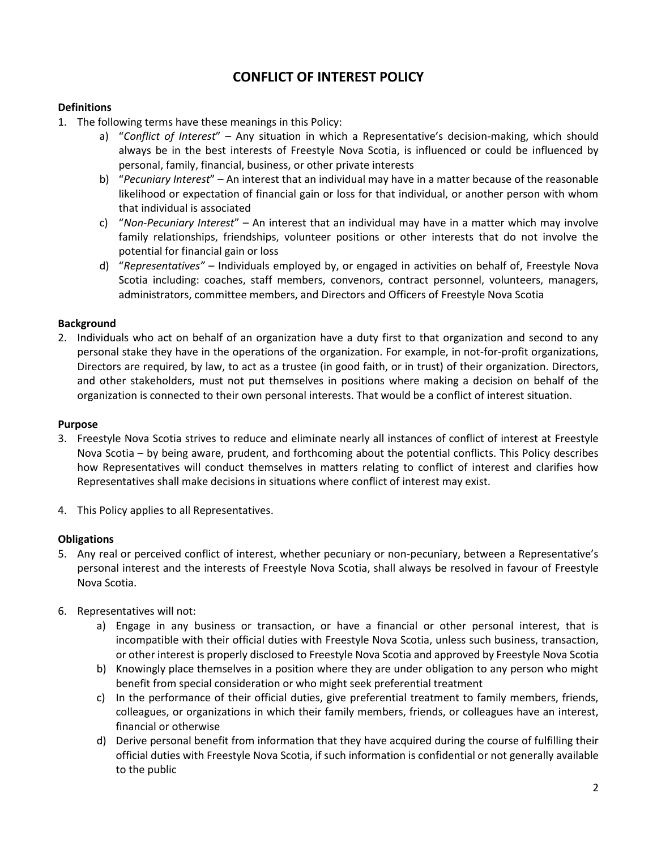# **CONFLICT OF INTEREST POLICY**

## <span id="page-1-0"></span>**Definitions**

- 1. The following terms have these meanings in this Policy:
	- a) "*Conflict of Interest*" Any situation in which a Representative's decision-making, which should always be in the best interests of Freestyle Nova Scotia, is influenced or could be influenced by personal, family, financial, business, or other private interests
	- b) "*Pecuniary Interest*" An interest that an individual may have in a matter because of the reasonable likelihood or expectation of financial gain or loss for that individual, or another person with whom that individual is associated
	- c) "*Non-Pecuniary Interest*" An interest that an individual may have in a matter which may involve family relationships, friendships, volunteer positions or other interests that do not involve the potential for financial gain or loss
	- d) "*Representatives"* Individuals employed by, or engaged in activities on behalf of, Freestyle Nova Scotia including: coaches, staff members, convenors, contract personnel, volunteers, managers, administrators, committee members, and Directors and Officers of Freestyle Nova Scotia

## **Background**

2. Individuals who act on behalf of an organization have a duty first to that organization and second to any personal stake they have in the operations of the organization. For example, in not-for-profit organizations, Directors are required, by law, to act as a trustee (in good faith, or in trust) of their organization. Directors, and other stakeholders, must not put themselves in positions where making a decision on behalf of the organization is connected to their own personal interests. That would be a conflict of interest situation.

#### **Purpose**

- 3. Freestyle Nova Scotia strives to reduce and eliminate nearly all instances of conflict of interest at Freestyle Nova Scotia – by being aware, prudent, and forthcoming about the potential conflicts. This Policy describes how Representatives will conduct themselves in matters relating to conflict of interest and clarifies how Representatives shall make decisions in situations where conflict of interest may exist.
- 4. This Policy applies to all Representatives.

## **Obligations**

- 5. Any real or perceived conflict of interest, whether pecuniary or non-pecuniary, between a Representative's personal interest and the interests of Freestyle Nova Scotia, shall always be resolved in favour of Freestyle Nova Scotia.
- 6. Representatives will not:
	- a) Engage in any business or transaction, or have a financial or other personal interest, that is incompatible with their official duties with Freestyle Nova Scotia, unless such business, transaction, or other interest is properly disclosed to Freestyle Nova Scotia and approved by Freestyle Nova Scotia
	- b) Knowingly place themselves in a position where they are under obligation to any person who might benefit from special consideration or who might seek preferential treatment
	- c) In the performance of their official duties, give preferential treatment to family members, friends, colleagues, or organizations in which their family members, friends, or colleagues have an interest, financial or otherwise
	- d) Derive personal benefit from information that they have acquired during the course of fulfilling their official duties with Freestyle Nova Scotia, if such information is confidential or not generally available to the public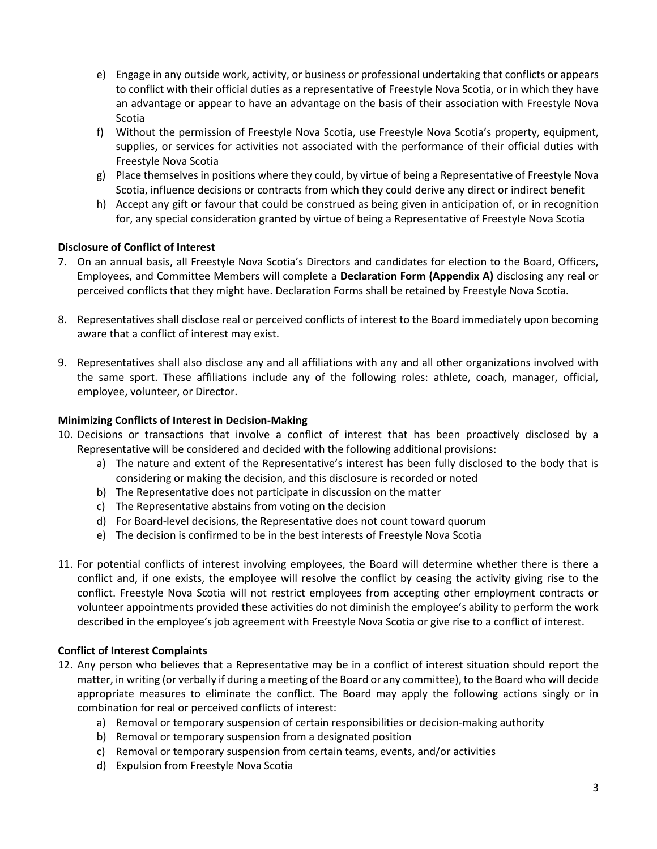- e) Engage in any outside work, activity, or business or professional undertaking that conflicts or appears to conflict with their official duties as a representative of Freestyle Nova Scotia, or in which they have an advantage or appear to have an advantage on the basis of their association with Freestyle Nova Scotia
- f) Without the permission of Freestyle Nova Scotia, use Freestyle Nova Scotia's property, equipment, supplies, or services for activities not associated with the performance of their official duties with Freestyle Nova Scotia
- g) Place themselves in positions where they could, by virtue of being a Representative of Freestyle Nova Scotia, influence decisions or contracts from which they could derive any direct or indirect benefit
- h) Accept any gift or favour that could be construed as being given in anticipation of, or in recognition for, any special consideration granted by virtue of being a Representative of Freestyle Nova Scotia

# **Disclosure of Conflict of Interest**

- 7. On an annual basis, all Freestyle Nova Scotia's Directors and candidates for election to the Board, Officers, Employees, and Committee Members will complete a **Declaration Form (Appendix A)** disclosing any real or perceived conflicts that they might have. Declaration Forms shall be retained by Freestyle Nova Scotia.
- 8. Representatives shall disclose real or perceived conflicts of interest to the Board immediately upon becoming aware that a conflict of interest may exist.
- 9. Representatives shall also disclose any and all affiliations with any and all other organizations involved with the same sport. These affiliations include any of the following roles: athlete, coach, manager, official, employee, volunteer, or Director.

## **Minimizing Conflicts of Interest in Decision-Making**

- 10. Decisions or transactions that involve a conflict of interest that has been proactively disclosed by a Representative will be considered and decided with the following additional provisions:
	- a) The nature and extent of the Representative's interest has been fully disclosed to the body that is considering or making the decision, and this disclosure is recorded or noted
	- b) The Representative does not participate in discussion on the matter
	- c) The Representative abstains from voting on the decision
	- d) For Board-level decisions, the Representative does not count toward quorum
	- e) The decision is confirmed to be in the best interests of Freestyle Nova Scotia
- 11. For potential conflicts of interest involving employees, the Board will determine whether there is there a conflict and, if one exists, the employee will resolve the conflict by ceasing the activity giving rise to the conflict. Freestyle Nova Scotia will not restrict employees from accepting other employment contracts or volunteer appointments provided these activities do not diminish the employee's ability to perform the work described in the employee's job agreement with Freestyle Nova Scotia or give rise to a conflict of interest.

## **Conflict of Interest Complaints**

- 12. Any person who believes that a Representative may be in a conflict of interest situation should report the matter, in writing (or verbally if during a meeting of the Board or any committee), to the Board who will decide appropriate measures to eliminate the conflict. The Board may apply the following actions singly or in combination for real or perceived conflicts of interest:
	- a) Removal or temporary suspension of certain responsibilities or decision-making authority
	- b) Removal or temporary suspension from a designated position
	- c) Removal or temporary suspension from certain teams, events, and/or activities
	- d) Expulsion from Freestyle Nova Scotia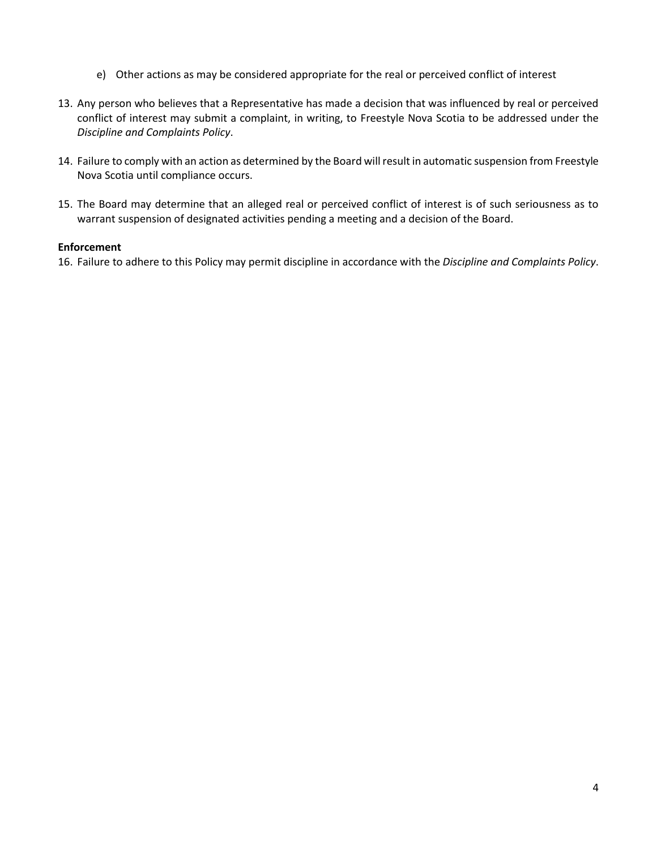- e) Other actions as may be considered appropriate for the real or perceived conflict of interest
- 13. Any person who believes that a Representative has made a decision that was influenced by real or perceived conflict of interest may submit a complaint, in writing, to Freestyle Nova Scotia to be addressed under the *Discipline and Complaints Policy*.
- 14. Failure to comply with an action as determined by the Board will result in automatic suspension from Freestyle Nova Scotia until compliance occurs.
- 15. The Board may determine that an alleged real or perceived conflict of interest is of such seriousness as to warrant suspension of designated activities pending a meeting and a decision of the Board.

## **Enforcement**

16. Failure to adhere to this Policy may permit discipline in accordance with the *Discipline and Complaints Policy*.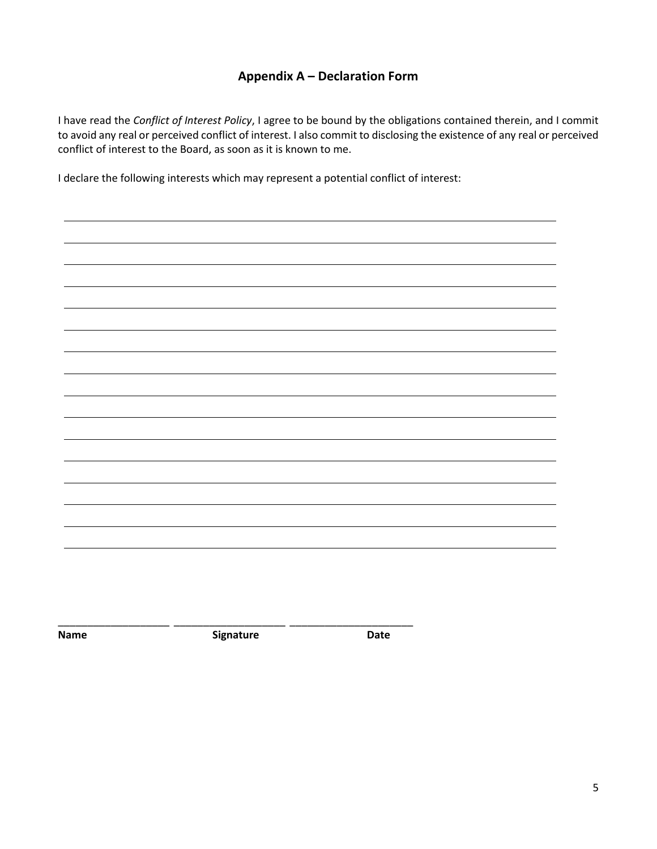# **Appendix A – Declaration Form**

<span id="page-4-0"></span>I have read the *Conflict of Interest Policy*, I agree to be bound by the obligations contained therein, and I commit to avoid any real or perceived conflict of interest. I also commit to disclosing the existence of any real or perceived conflict of interest to the Board, as soon as it is known to me.

I declare the following interests which may represent a potential conflict of interest:

**Name Signature Date** 

\_\_\_\_\_\_\_\_\_\_\_\_\_\_\_\_\_\_\_ \_\_\_\_\_\_\_\_\_\_\_\_\_\_\_\_\_\_\_ \_\_\_\_\_\_\_\_\_\_\_\_\_\_\_\_\_\_\_\_\_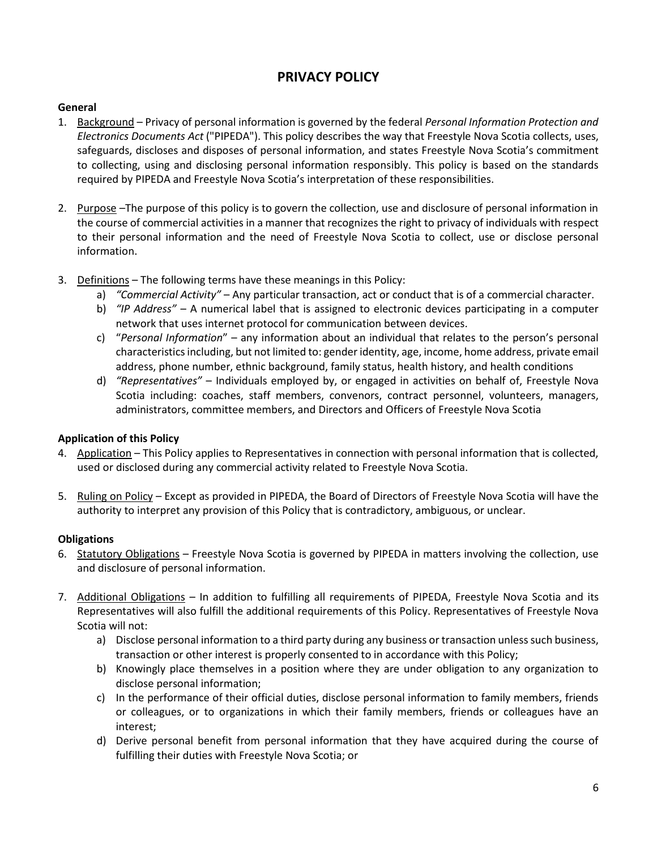# **PRIVACY POLICY**

# <span id="page-5-0"></span>**General**

- 1. Background Privacy of personal information is governed by the federal *Personal Information Protection and Electronics Documents Act* ("PIPEDA"). This policy describes the way that Freestyle Nova Scotia collects, uses, safeguards, discloses and disposes of personal information, and states Freestyle Nova Scotia's commitment to collecting, using and disclosing personal information responsibly. This policy is based on the standards required by PIPEDA and Freestyle Nova Scotia's interpretation of these responsibilities.
- 2. Purpose –The purpose of this policy is to govern the collection, use and disclosure of personal information in the course of commercial activities in a manner that recognizes the right to privacy of individuals with respect to their personal information and the need of Freestyle Nova Scotia to collect, use or disclose personal information.
- 3. Definitions The following terms have these meanings in this Policy:
	- a) *"Commercial Activity"*  Any particular transaction, act or conduct that is of a commercial character.
	- b) *"IP Address"*  A numerical label that is assigned to electronic devices participating in a computer network that uses internet protocol for communication between devices.
	- c) "*Personal Information*" any information about an individual that relates to the person's personal characteristics including, but not limited to: gender identity, age, income, home address, private email address, phone number, ethnic background, family status, health history, and health conditions
	- d) *"Representatives"*  Individuals employed by, or engaged in activities on behalf of, Freestyle Nova Scotia including: coaches, staff members, convenors, contract personnel, volunteers, managers, administrators, committee members, and Directors and Officers of Freestyle Nova Scotia

# **Application of this Policy**

- 4. Application This Policy applies to Representatives in connection with personal information that is collected, used or disclosed during any commercial activity related to Freestyle Nova Scotia.
- 5. Ruling on Policy Except as provided in PIPEDA, the Board of Directors of Freestyle Nova Scotia will have the authority to interpret any provision of this Policy that is contradictory, ambiguous, or unclear.

## **Obligations**

- 6. Statutory Obligations Freestyle Nova Scotia is governed by PIPEDA in matters involving the collection, use and disclosure of personal information.
- 7. Additional Obligations In addition to fulfilling all requirements of PIPEDA, Freestyle Nova Scotia and its Representatives will also fulfill the additional requirements of this Policy. Representatives of Freestyle Nova Scotia will not:
	- a) Disclose personal information to a third party during any business or transaction unless such business, transaction or other interest is properly consented to in accordance with this Policy;
	- b) Knowingly place themselves in a position where they are under obligation to any organization to disclose personal information;
	- c) In the performance of their official duties, disclose personal information to family members, friends or colleagues, or to organizations in which their family members, friends or colleagues have an interest;
	- d) Derive personal benefit from personal information that they have acquired during the course of fulfilling their duties with Freestyle Nova Scotia; or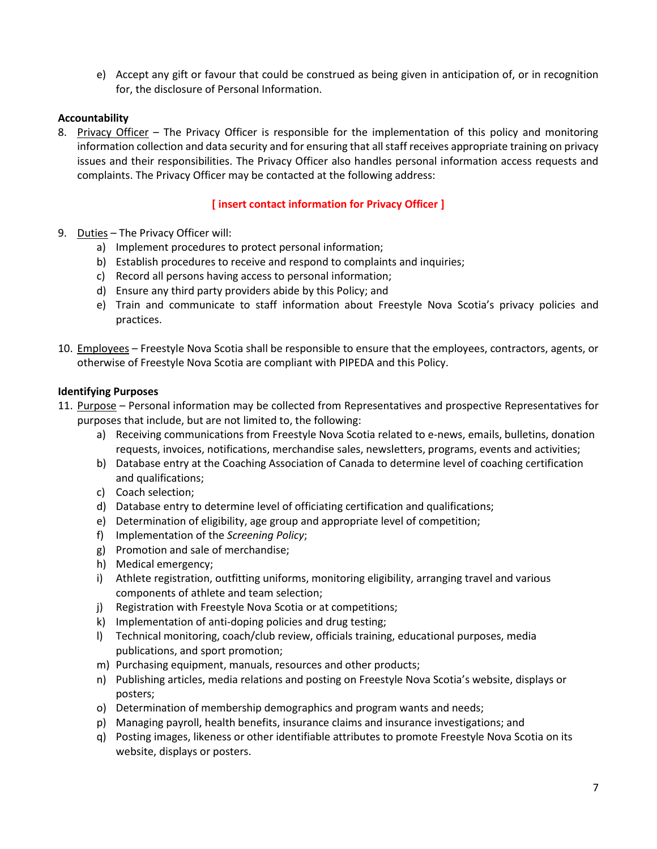e) Accept any gift or favour that could be construed as being given in anticipation of, or in recognition for, the disclosure of Personal Information.

# **Accountability**

8. Privacy Officer – The Privacy Officer is responsible for the implementation of this policy and monitoring information collection and data security and for ensuring that all staff receives appropriate training on privacy issues and their responsibilities. The Privacy Officer also handles personal information access requests and complaints. The Privacy Officer may be contacted at the following address:

# **[ insert contact information for Privacy Officer ]**

- 9. Duties The Privacy Officer will:
	- a) Implement procedures to protect personal information;
	- b) Establish procedures to receive and respond to complaints and inquiries;
	- c) Record all persons having access to personal information;
	- d) Ensure any third party providers abide by this Policy; and
	- e) Train and communicate to staff information about Freestyle Nova Scotia's privacy policies and practices.
- 10. Employees Freestyle Nova Scotia shall be responsible to ensure that the employees, contractors, agents, or otherwise of Freestyle Nova Scotia are compliant with PIPEDA and this Policy.

## **Identifying Purposes**

- 11. Purpose Personal information may be collected from Representatives and prospective Representatives for purposes that include, but are not limited to, the following:
	- a) Receiving communications from Freestyle Nova Scotia related to e-news, emails, bulletins, donation requests, invoices, notifications, merchandise sales, newsletters, programs, events and activities;
	- b) Database entry at the Coaching Association of Canada to determine level of coaching certification and qualifications;
	- c) Coach selection;
	- d) Database entry to determine level of officiating certification and qualifications;
	- e) Determination of eligibility, age group and appropriate level of competition;
	- f) Implementation of the *Screening Policy*;
	- g) Promotion and sale of merchandise;
	- h) Medical emergency;
	- i) Athlete registration, outfitting uniforms, monitoring eligibility, arranging travel and various components of athlete and team selection;
	- j) Registration with Freestyle Nova Scotia or at competitions;
	- k) Implementation of anti-doping policies and drug testing;
	- l) Technical monitoring, coach/club review, officials training, educational purposes, media publications, and sport promotion;
	- m) Purchasing equipment, manuals, resources and other products;
	- n) Publishing articles, media relations and posting on Freestyle Nova Scotia's website, displays or posters;
	- o) Determination of membership demographics and program wants and needs;
	- p) Managing payroll, health benefits, insurance claims and insurance investigations; and
	- q) Posting images, likeness or other identifiable attributes to promote Freestyle Nova Scotia on its website, displays or posters.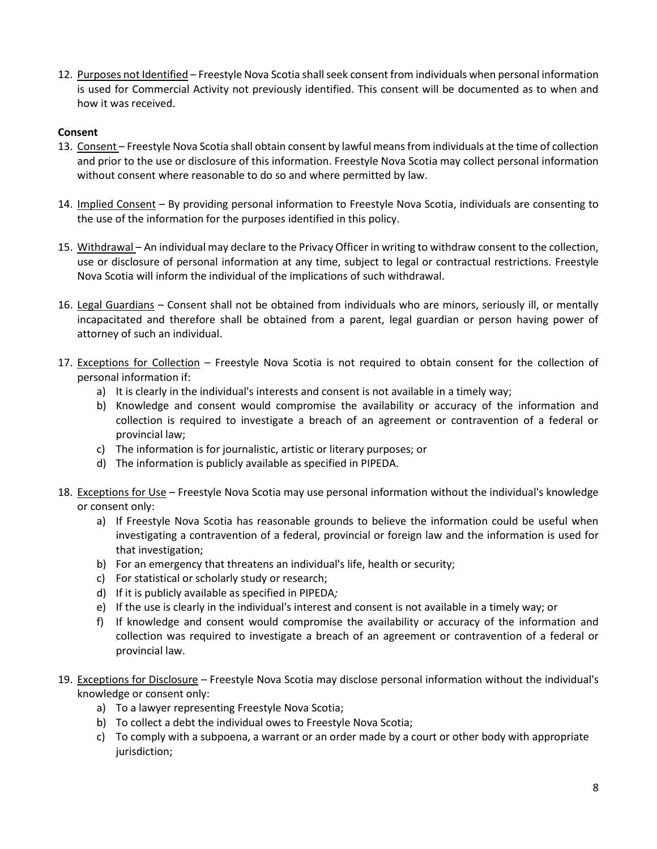12. Purposes not Identified – Freestyle Nova Scotia shall seek consent from individuals when personal information is used for Commercial Activity not previously identified. This consent will be documented as to when and how it was received.

## **Consent**

- 13. Consent Freestyle Nova Scotia shall obtain consent by lawful means from individuals at the time of collection and prior to the use or disclosure of this information. Freestyle Nova Scotia may collect personal information without consent where reasonable to do so and where permitted by law.
- 14. Implied Consent By providing personal information to Freestyle Nova Scotia, individuals are consenting to the use of the information for the purposes identified in this policy.
- 15. Withdrawal An individual may declare to the Privacy Officer in writing to withdraw consent to the collection, use or disclosure of personal information at any time, subject to legal or contractual restrictions. Freestyle Nova Scotia will inform the individual of the implications of such withdrawal.
- 16. Legal Guardians Consent shall not be obtained from individuals who are minors, seriously ill, or mentally incapacitated and therefore shall be obtained from a parent, legal guardian or person having power of attorney of such an individual.
- 17. Exceptions for Collection Freestyle Nova Scotia is not required to obtain consent for the collection of personal information if:
	- a) It is clearly in the individual's interests and consent is not available in a timely way;
	- b) Knowledge and consent would compromise the availability or accuracy of the information and collection is required to investigate a breach of an agreement or contravention of a federal or provincial law;
	- c) The information is for journalistic, artistic or literary purposes; or
	- d) The information is publicly available as specified in PIPEDA.
- 18. Exceptions for Use Freestyle Nova Scotia may use personal information without the individual's knowledge or consent only:
	- a) If Freestyle Nova Scotia has reasonable grounds to believe the information could be useful when investigating a contravention of a federal, provincial or foreign law and the information is used for that investigation;
	- b) For an emergency that threatens an individual's life, health or security;
	- c) For statistical or scholarly study or research;
	- d) If it is publicly available as specified in PIPEDA*;*
	- e) If the use is clearly in the individual's interest and consent is not available in a timely way; or
	- f) If knowledge and consent would compromise the availability or accuracy of the information and collection was required to investigate a breach of an agreement or contravention of a federal or provincial law.
- 19. Exceptions for Disclosure Freestyle Nova Scotia may disclose personal information without the individual's knowledge or consent only:
	- a) To a lawyer representing Freestyle Nova Scotia;
	- b) To collect a debt the individual owes to Freestyle Nova Scotia;
	- c) To comply with a subpoena, a warrant or an order made by a court or other body with appropriate jurisdiction;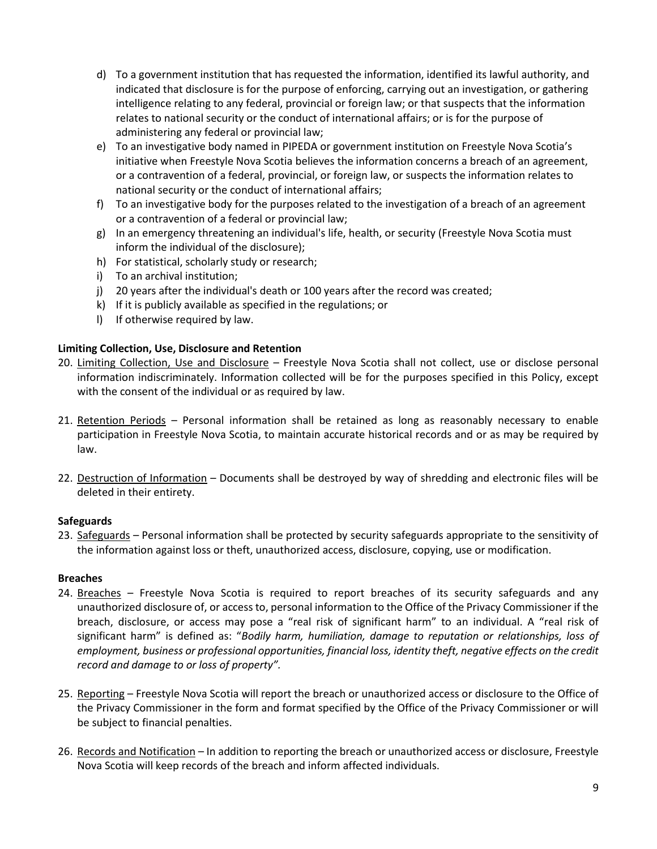- d) To a government institution that has requested the information, identified its lawful authority, and indicated that disclosure is for the purpose of enforcing, carrying out an investigation, or gathering intelligence relating to any federal, provincial or foreign law; or that suspects that the information relates to national security or the conduct of international affairs; or is for the purpose of administering any federal or provincial law;
- e) To an investigative body named in PIPEDA or government institution on Freestyle Nova Scotia's initiative when Freestyle Nova Scotia believes the information concerns a breach of an agreement, or a contravention of a federal, provincial, or foreign law, or suspects the information relates to national security or the conduct of international affairs;
- f) To an investigative body for the purposes related to the investigation of a breach of an agreement or a contravention of a federal or provincial law;
- g) In an emergency threatening an individual's life, health, or security (Freestyle Nova Scotia must inform the individual of the disclosure);
- h) For statistical, scholarly study or research;
- i) To an archival institution;
- j) 20 years after the individual's death or 100 years after the record was created;
- k) If it is publicly available as specified in the regulations; or
- l) If otherwise required by law.

# **Limiting Collection, Use, Disclosure and Retention**

- 20. Limiting Collection, Use and Disclosure Freestyle Nova Scotia shall not collect, use or disclose personal information indiscriminately. Information collected will be for the purposes specified in this Policy, except with the consent of the individual or as required by law.
- 21. Retention Periods Personal information shall be retained as long as reasonably necessary to enable participation in Freestyle Nova Scotia, to maintain accurate historical records and or as may be required by law.
- 22. Destruction of Information Documents shall be destroyed by way of shredding and electronic files will be deleted in their entirety.

# **Safeguards**

23. Safeguards – Personal information shall be protected by security safeguards appropriate to the sensitivity of the information against loss or theft, unauthorized access, disclosure, copying, use or modification.

# **Breaches**

- 24. Breaches Freestyle Nova Scotia is required to report breaches of its security safeguards and any unauthorized disclosure of, or access to, personal information to the Office of the Privacy Commissioner if the breach, disclosure, or access may pose a "real risk of significant harm" to an individual. A "real risk of significant harm" is defined as: "*Bodily harm, humiliation, damage to reputation or relationships, loss of employment, business or professional opportunities, financial loss, identity theft, negative effects on the credit record and damage to or loss of property".*
- 25. Reporting Freestyle Nova Scotia will report the breach or unauthorized access or disclosure to the Office of the Privacy Commissioner in the form and format specified by the Office of the Privacy Commissioner or will be subject to financial penalties.
- 26. Records and Notification In addition to reporting the breach or unauthorized access or disclosure, Freestyle Nova Scotia will keep records of the breach and inform affected individuals.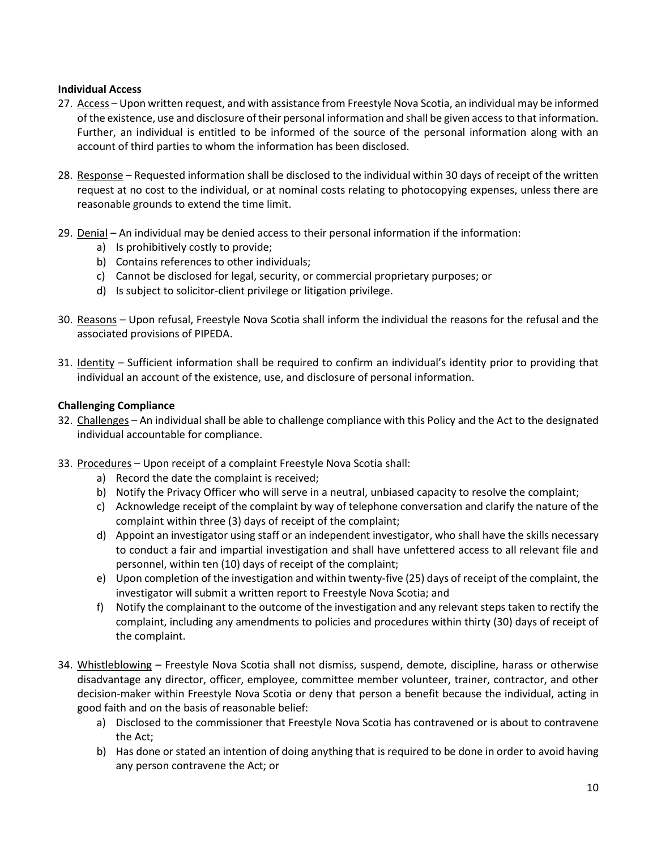## **Individual Access**

- 27. Access Upon written request, and with assistance from Freestyle Nova Scotia, an individual may be informed of the existence, use and disclosure of their personal information and shall be given access to that information. Further, an individual is entitled to be informed of the source of the personal information along with an account of third parties to whom the information has been disclosed.
- 28. Response Requested information shall be disclosed to the individual within 30 days of receipt of the written request at no cost to the individual, or at nominal costs relating to photocopying expenses, unless there are reasonable grounds to extend the time limit.
- 29. Denial An individual may be denied access to their personal information if the information:
	- a) Is prohibitively costly to provide;
	- b) Contains references to other individuals;
	- c) Cannot be disclosed for legal, security, or commercial proprietary purposes; or
	- d) Is subject to solicitor-client privilege or litigation privilege.
- 30. Reasons Upon refusal, Freestyle Nova Scotia shall inform the individual the reasons for the refusal and the associated provisions of PIPEDA.
- 31. Identity Sufficient information shall be required to confirm an individual's identity prior to providing that individual an account of the existence, use, and disclosure of personal information.

## **Challenging Compliance**

- 32. Challenges An individual shall be able to challenge compliance with this Policy and the Act to the designated individual accountable for compliance.
- 33. Procedures Upon receipt of a complaint Freestyle Nova Scotia shall:
	- a) Record the date the complaint is received;
	- b) Notify the Privacy Officer who will serve in a neutral, unbiased capacity to resolve the complaint;
	- c) Acknowledge receipt of the complaint by way of telephone conversation and clarify the nature of the complaint within three (3) days of receipt of the complaint;
	- d) Appoint an investigator using staff or an independent investigator, who shall have the skills necessary to conduct a fair and impartial investigation and shall have unfettered access to all relevant file and personnel, within ten (10) days of receipt of the complaint;
	- e) Upon completion of the investigation and within twenty-five (25) days of receipt of the complaint, the investigator will submit a written report to Freestyle Nova Scotia; and
	- f) Notify the complainant to the outcome of the investigation and any relevant steps taken to rectify the complaint, including any amendments to policies and procedures within thirty (30) days of receipt of the complaint.
- 34. Whistleblowing Freestyle Nova Scotia shall not dismiss, suspend, demote, discipline, harass or otherwise disadvantage any director, officer, employee, committee member volunteer, trainer, contractor, and other decision-maker within Freestyle Nova Scotia or deny that person a benefit because the individual, acting in good faith and on the basis of reasonable belief:
	- a) Disclosed to the commissioner that Freestyle Nova Scotia has contravened or is about to contravene the Act;
	- b) Has done or stated an intention of doing anything that is required to be done in order to avoid having any person contravene the Act; or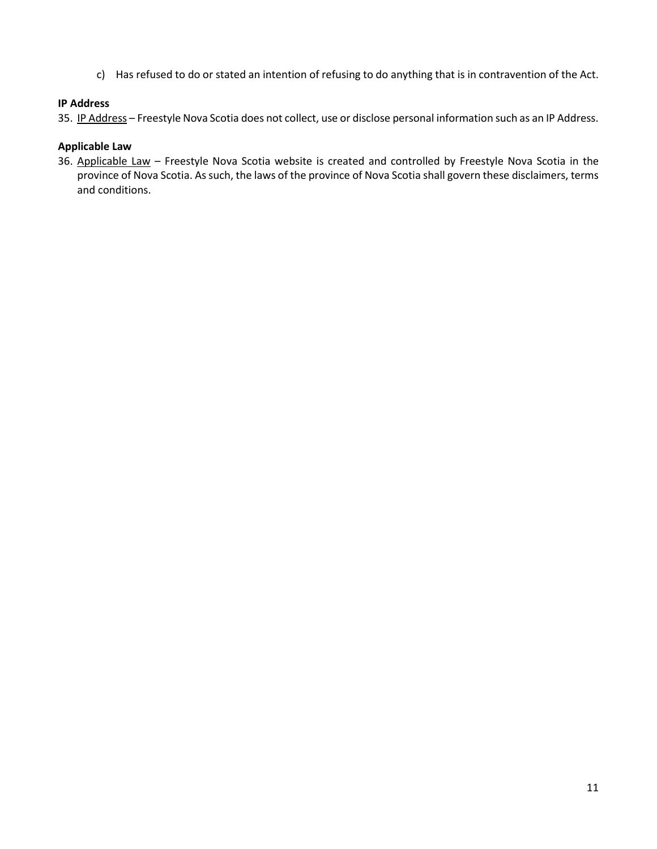c) Has refused to do or stated an intention of refusing to do anything that is in contravention of the Act.

# **IP Address**

35. IP Address - Freestyle Nova Scotia does not collect, use or disclose personal information such as an IP Address.

## **Applicable Law**

36. Applicable Law – Freestyle Nova Scotia website is created and controlled by Freestyle Nova Scotia in the province of Nova Scotia. As such, the laws of the province of Nova Scotia shall govern these disclaimers, terms and conditions.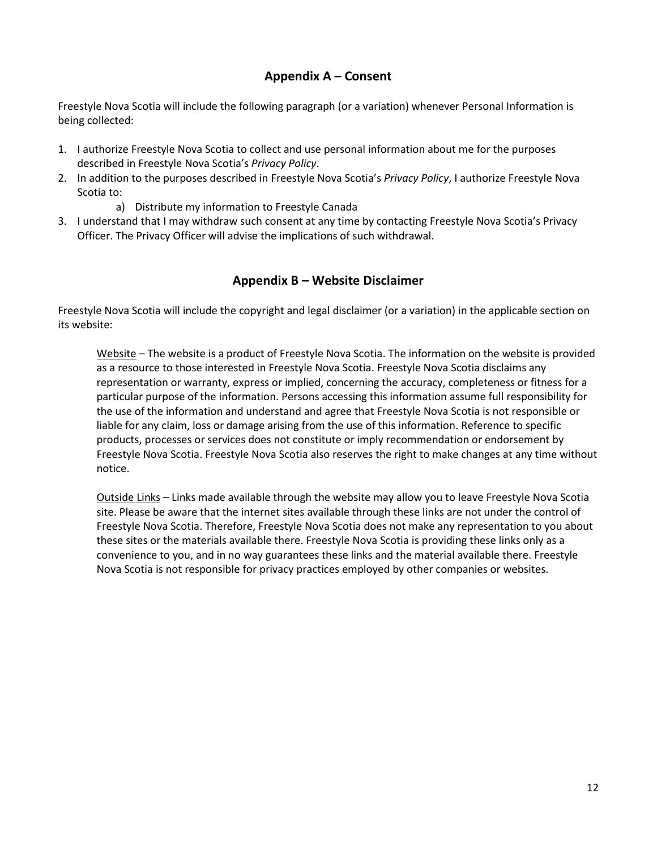# **Appendix A – Consent**

<span id="page-11-0"></span>Freestyle Nova Scotia will include the following paragraph (or a variation) whenever Personal Information is being collected:

- 1. I authorize Freestyle Nova Scotia to collect and use personal information about me for the purposes described in Freestyle Nova Scotia's *Privacy Policy*.
- 2. In addition to the purposes described in Freestyle Nova Scotia's *Privacy Policy*, I authorize Freestyle Nova Scotia to:
	- a) Distribute my information to Freestyle Canada
- 3. I understand that I may withdraw such consent at any time by contacting Freestyle Nova Scotia's Privacy Officer. The Privacy Officer will advise the implications of such withdrawal.

# **Appendix B – Website Disclaimer**

<span id="page-11-1"></span>Freestyle Nova Scotia will include the copyright and legal disclaimer (or a variation) in the applicable section on its website:

Website – The website is a product of Freestyle Nova Scotia. The information on the website is provided as a resource to those interested in Freestyle Nova Scotia. Freestyle Nova Scotia disclaims any representation or warranty, express or implied, concerning the accuracy, completeness or fitness for a particular purpose of the information. Persons accessing this information assume full responsibility for the use of the information and understand and agree that Freestyle Nova Scotia is not responsible or liable for any claim, loss or damage arising from the use of this information. Reference to specific products, processes or services does not constitute or imply recommendation or endorsement by Freestyle Nova Scotia. Freestyle Nova Scotia also reserves the right to make changes at any time without notice.

Outside Links – Links made available through the website may allow you to leave Freestyle Nova Scotia site. Please be aware that the internet sites available through these links are not under the control of Freestyle Nova Scotia. Therefore, Freestyle Nova Scotia does not make any representation to you about these sites or the materials available there. Freestyle Nova Scotia is providing these links only as a convenience to you, and in no way guarantees these links and the material available there. Freestyle Nova Scotia is not responsible for privacy practices employed by other companies or websites.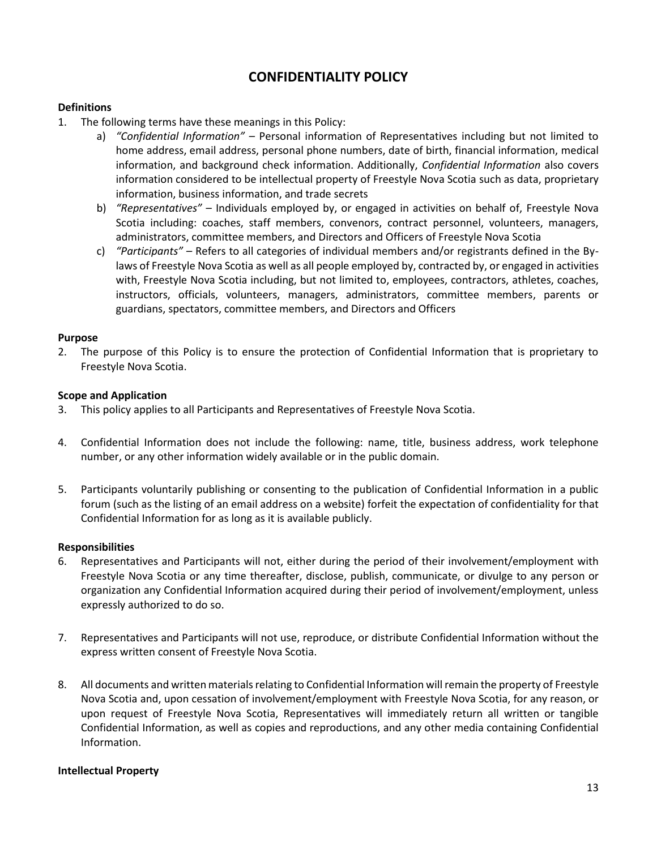# **CONFIDENTIALITY POLICY**

## <span id="page-12-0"></span>**Definitions**

- 1. The following terms have these meanings in this Policy:
	- a) *"Confidential Information" –* Personal information of Representatives including but not limited to home address, email address, personal phone numbers, date of birth, financial information, medical information, and background check information. Additionally, *Confidential Information* also covers information considered to be intellectual property of Freestyle Nova Scotia such as data, proprietary information, business information, and trade secrets
	- b) *"Representatives"* Individuals employed by, or engaged in activities on behalf of, Freestyle Nova Scotia including: coaches, staff members, convenors, contract personnel, volunteers, managers, administrators, committee members, and Directors and Officers of Freestyle Nova Scotia
	- c) *"Participants" –* Refers to all categories of individual members and/or registrants defined in the Bylaws of Freestyle Nova Scotia as well as all people employed by, contracted by, or engaged in activities with, Freestyle Nova Scotia including, but not limited to, employees, contractors, athletes, coaches, instructors, officials, volunteers, managers, administrators, committee members, parents or guardians, spectators, committee members, and Directors and Officers

## **Purpose**

2. The purpose of this Policy is to ensure the protection of Confidential Information that is proprietary to Freestyle Nova Scotia.

## **Scope and Application**

- 3. This policy applies to all Participants and Representatives of Freestyle Nova Scotia.
- 4. Confidential Information does not include the following: name, title, business address, work telephone number, or any other information widely available or in the public domain.
- 5. Participants voluntarily publishing or consenting to the publication of Confidential Information in a public forum (such as the listing of an email address on a website) forfeit the expectation of confidentiality for that Confidential Information for as long as it is available publicly.

## **Responsibilities**

- 6. Representatives and Participants will not, either during the period of their involvement/employment with Freestyle Nova Scotia or any time thereafter, disclose, publish, communicate, or divulge to any person or organization any Confidential Information acquired during their period of involvement/employment, unless expressly authorized to do so.
- 7. Representatives and Participants will not use, reproduce, or distribute Confidential Information without the express written consent of Freestyle Nova Scotia.
- 8. All documents and written materials relating to Confidential Information will remain the property of Freestyle Nova Scotia and, upon cessation of involvement/employment with Freestyle Nova Scotia, for any reason, or upon request of Freestyle Nova Scotia, Representatives will immediately return all written or tangible Confidential Information, as well as copies and reproductions, and any other media containing Confidential Information.

#### **Intellectual Property**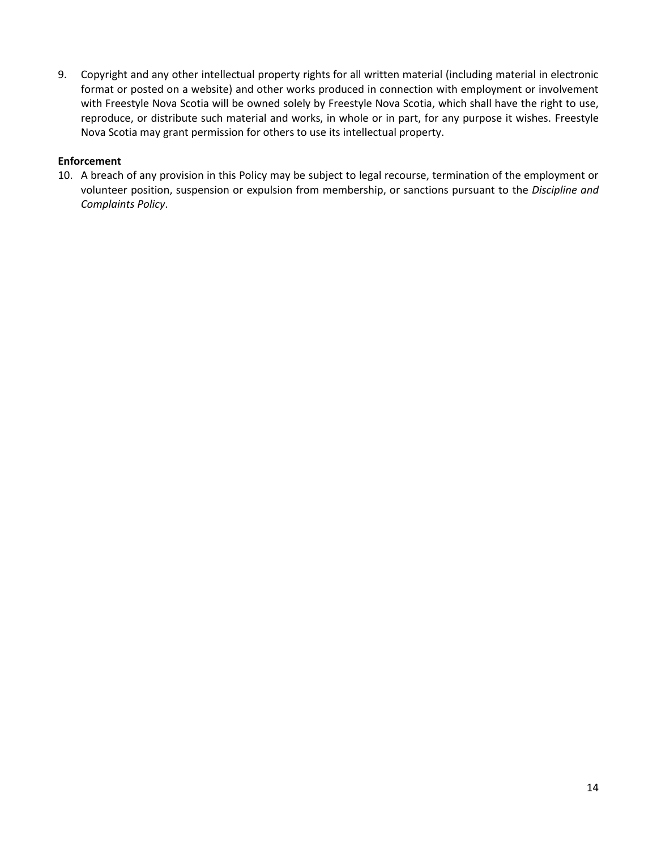9. Copyright and any other intellectual property rights for all written material (including material in electronic format or posted on a website) and other works produced in connection with employment or involvement with Freestyle Nova Scotia will be owned solely by Freestyle Nova Scotia, which shall have the right to use, reproduce, or distribute such material and works, in whole or in part, for any purpose it wishes. Freestyle Nova Scotia may grant permission for others to use its intellectual property.

## **Enforcement**

10. A breach of any provision in this Policy may be subject to legal recourse, termination of the employment or volunteer position, suspension or expulsion from membership, or sanctions pursuant to the *Discipline and Complaints Policy*.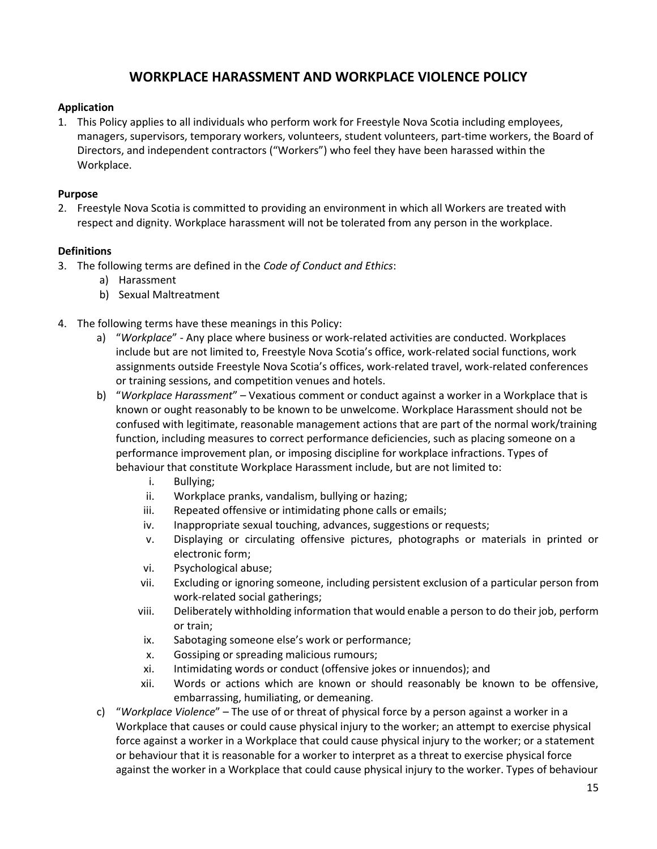# **WORKPLACE HARASSMENT AND WORKPLACE VIOLENCE POLICY**

## <span id="page-14-0"></span>**Application**

1. This Policy applies to all individuals who perform work for Freestyle Nova Scotia including employees, managers, supervisors, temporary workers, volunteers, student volunteers, part-time workers, the Board of Directors, and independent contractors ("Workers") who feel they have been harassed within the Workplace.

## **Purpose**

2. Freestyle Nova Scotia is committed to providing an environment in which all Workers are treated with respect and dignity. Workplace harassment will not be tolerated from any person in the workplace.

## **Definitions**

- 3. The following terms are defined in the *Code of Conduct and Ethics*:
	- a) Harassment
	- b) Sexual Maltreatment
- 4. The following terms have these meanings in this Policy:
	- a) "*Workplace*" Any place where business or work-related activities are conducted. Workplaces include but are not limited to, Freestyle Nova Scotia's office, work-related social functions, work assignments outside Freestyle Nova Scotia's offices, work-related travel, work-related conferences or training sessions, and competition venues and hotels.
	- b) "*Workplace Harassment*" Vexatious comment or conduct against a worker in a Workplace that is known or ought reasonably to be known to be unwelcome. Workplace Harassment should not be confused with legitimate, reasonable management actions that are part of the normal work/training function, including measures to correct performance deficiencies, such as placing someone on a performance improvement plan, or imposing discipline for workplace infractions. Types of behaviour that constitute Workplace Harassment include, but are not limited to:
		- i. Bullying;
		- ii. Workplace pranks, vandalism, bullying or hazing;
		- iii. Repeated offensive or intimidating phone calls or emails;
		- iv. Inappropriate sexual touching, advances, suggestions or requests;
		- v. Displaying or circulating offensive pictures, photographs or materials in printed or electronic form;
		- vi. Psychological abuse;
		- vii. Excluding or ignoring someone, including persistent exclusion of a particular person from work-related social gatherings;
		- viii. Deliberately withholding information that would enable a person to do their job, perform or train;
		- ix. Sabotaging someone else's work or performance;
		- x. Gossiping or spreading malicious rumours;
		- xi. Intimidating words or conduct (offensive jokes or innuendos); and
		- xii. Words or actions which are known or should reasonably be known to be offensive, embarrassing, humiliating, or demeaning.
	- c) "*Workplace Violence*" The use of or threat of physical force by a person against a worker in a Workplace that causes or could cause physical injury to the worker; an attempt to exercise physical force against a worker in a Workplace that could cause physical injury to the worker; or a statement or behaviour that it is reasonable for a worker to interpret as a threat to exercise physical force against the worker in a Workplace that could cause physical injury to the worker. Types of behaviour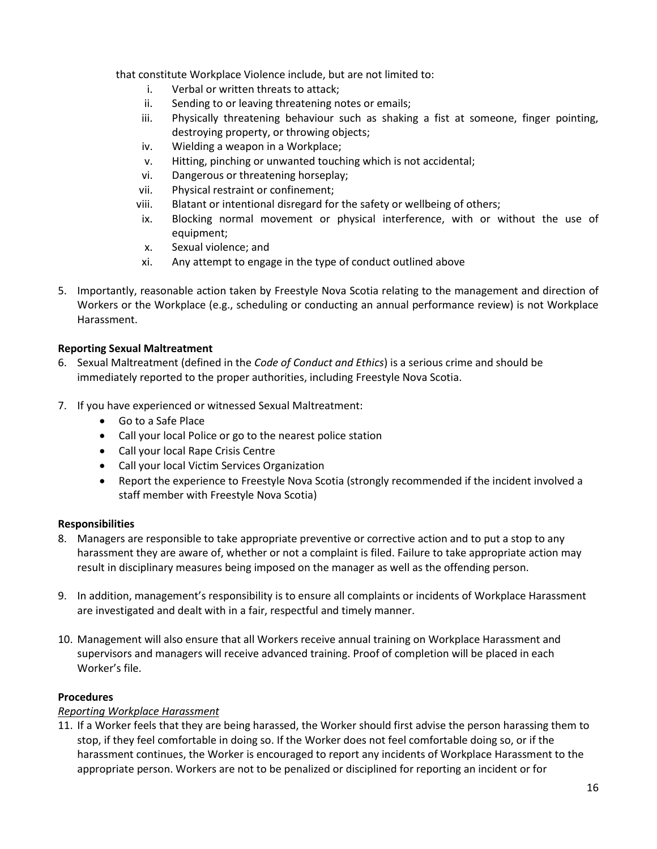that constitute Workplace Violence include, but are not limited to:

- i. Verbal or written threats to attack;
- ii. Sending to or leaving threatening notes or emails;
- iii. Physically threatening behaviour such as shaking a fist at someone, finger pointing, destroying property, or throwing objects;
- iv. Wielding a weapon in a Workplace;
- v. Hitting, pinching or unwanted touching which is not accidental;
- vi. Dangerous or threatening horseplay;
- vii. Physical restraint or confinement;
- viii. Blatant or intentional disregard for the safety or wellbeing of others;
- ix. Blocking normal movement or physical interference, with or without the use of equipment;
- x. Sexual violence; and
- xi. Any attempt to engage in the type of conduct outlined above
- 5. Importantly, reasonable action taken by Freestyle Nova Scotia relating to the management and direction of Workers or the Workplace (e.g., scheduling or conducting an annual performance review) is not Workplace Harassment.

## **Reporting Sexual Maltreatment**

- 6. Sexual Maltreatment (defined in the *Code of Conduct and Ethics*) is a serious crime and should be immediately reported to the proper authorities, including Freestyle Nova Scotia.
- 7. If you have experienced or witnessed Sexual Maltreatment:
	- Go to a Safe Place
	- Call your local Police or go to the nearest police station
	- Call your local Rape Crisis Centre
	- Call your local Victim Services Organization
	- Report the experience to Freestyle Nova Scotia (strongly recommended if the incident involved a staff member with Freestyle Nova Scotia)

## **Responsibilities**

- 8. Managers are responsible to take appropriate preventive or corrective action and to put a stop to any harassment they are aware of, whether or not a complaint is filed. Failure to take appropriate action may result in disciplinary measures being imposed on the manager as well as the offending person.
- 9. In addition, management's responsibility is to ensure all complaints or incidents of Workplace Harassment are investigated and dealt with in a fair, respectful and timely manner.
- 10. Management will also ensure that all Workers receive annual training on Workplace Harassment and supervisors and managers will receive advanced training. Proof of completion will be placed in each Worker's file.

## **Procedures**

## *Reporting Workplace Harassment*

11. If a Worker feels that they are being harassed, the Worker should first advise the person harassing them to stop, if they feel comfortable in doing so. If the Worker does not feel comfortable doing so, or if the harassment continues, the Worker is encouraged to report any incidents of Workplace Harassment to the appropriate person. Workers are not to be penalized or disciplined for reporting an incident or for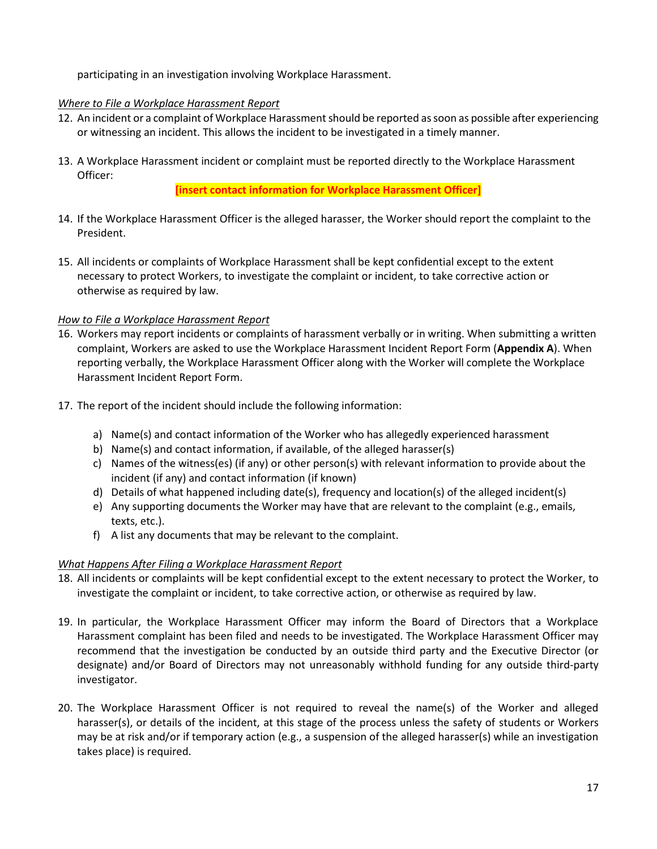participating in an investigation involving Workplace Harassment.

## *Where to File a Workplace Harassment Report*

- 12. An incident or a complaint of Workplace Harassment should be reported as soon as possible after experiencing or witnessing an incident. This allows the incident to be investigated in a timely manner.
- 13. A Workplace Harassment incident or complaint must be reported directly to the Workplace Harassment Officer:

**[insert contact information for Workplace Harassment Officer]**

- 14. If the Workplace Harassment Officer is the alleged harasser, the Worker should report the complaint to the President.
- 15. All incidents or complaints of Workplace Harassment shall be kept confidential except to the extent necessary to protect Workers, to investigate the complaint or incident, to take corrective action or otherwise as required by law.

# *How to File a Workplace Harassment Report*

- 16. Workers may report incidents or complaints of harassment verbally or in writing. When submitting a written complaint, Workers are asked to use the Workplace Harassment Incident Report Form (**Appendix A**). When reporting verbally, the Workplace Harassment Officer along with the Worker will complete the Workplace Harassment Incident Report Form.
- 17. The report of the incident should include the following information:
	- a) Name(s) and contact information of the Worker who has allegedly experienced harassment
	- b) Name(s) and contact information, if available, of the alleged harasser(s)
	- c) Names of the witness(es) (if any) or other person(s) with relevant information to provide about the incident (if any) and contact information (if known)
	- d) Details of what happened including date(s), frequency and location(s) of the alleged incident(s)
	- e) Any supporting documents the Worker may have that are relevant to the complaint (e.g., emails, texts, etc.).
	- f) A list any documents that may be relevant to the complaint.

# *What Happens After Filing a Workplace Harassment Report*

- 18. All incidents or complaints will be kept confidential except to the extent necessary to protect the Worker, to investigate the complaint or incident, to take corrective action, or otherwise as required by law.
- 19. In particular, the Workplace Harassment Officer may inform the Board of Directors that a Workplace Harassment complaint has been filed and needs to be investigated. The Workplace Harassment Officer may recommend that the investigation be conducted by an outside third party and the Executive Director (or designate) and/or Board of Directors may not unreasonably withhold funding for any outside third-party investigator.
- 20. The Workplace Harassment Officer is not required to reveal the name(s) of the Worker and alleged harasser(s), or details of the incident, at this stage of the process unless the safety of students or Workers may be at risk and/or if temporary action (e.g., a suspension of the alleged harasser(s) while an investigation takes place) is required.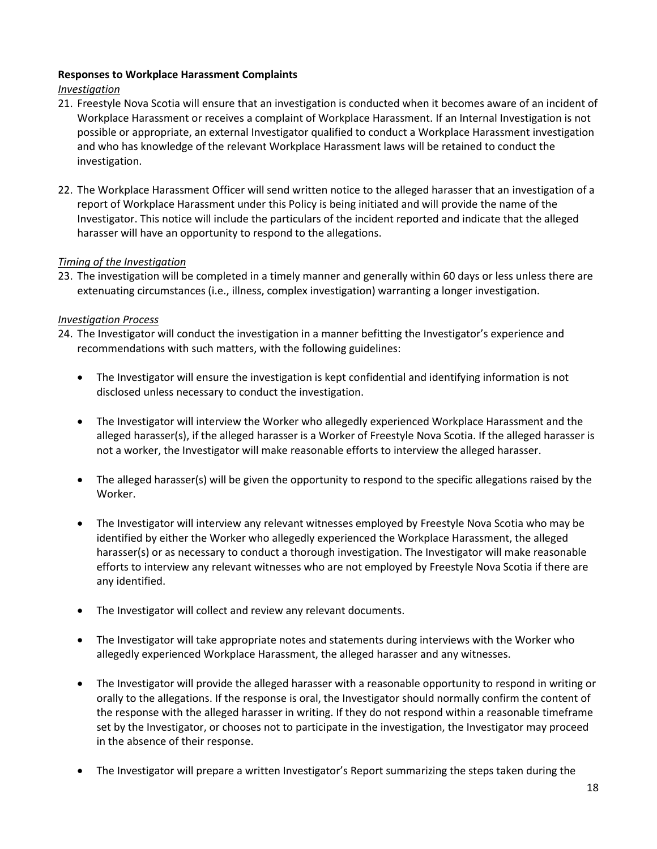## **Responses to Workplace Harassment Complaints**

## *Investigation*

- 21. Freestyle Nova Scotia will ensure that an investigation is conducted when it becomes aware of an incident of Workplace Harassment or receives a complaint of Workplace Harassment. If an Internal Investigation is not possible or appropriate, an external Investigator qualified to conduct a Workplace Harassment investigation and who has knowledge of the relevant Workplace Harassment laws will be retained to conduct the investigation.
- 22. The Workplace Harassment Officer will send written notice to the alleged harasser that an investigation of a report of Workplace Harassment under this Policy is being initiated and will provide the name of the Investigator. This notice will include the particulars of the incident reported and indicate that the alleged harasser will have an opportunity to respond to the allegations.

## *Timing of the Investigation*

23. The investigation will be completed in a timely manner and generally within 60 days or less unless there are extenuating circumstances (i.e., illness, complex investigation) warranting a longer investigation.

## *Investigation Process*

- 24. The Investigator will conduct the investigation in a manner befitting the Investigator's experience and recommendations with such matters, with the following guidelines:
	- The Investigator will ensure the investigation is kept confidential and identifying information is not disclosed unless necessary to conduct the investigation.
	- The Investigator will interview the Worker who allegedly experienced Workplace Harassment and the alleged harasser(s), if the alleged harasser is a Worker of Freestyle Nova Scotia. If the alleged harasser is not a worker, the Investigator will make reasonable efforts to interview the alleged harasser.
	- The alleged harasser(s) will be given the opportunity to respond to the specific allegations raised by the Worker.
	- The Investigator will interview any relevant witnesses employed by Freestyle Nova Scotia who may be identified by either the Worker who allegedly experienced the Workplace Harassment, the alleged harasser(s) or as necessary to conduct a thorough investigation. The Investigator will make reasonable efforts to interview any relevant witnesses who are not employed by Freestyle Nova Scotia if there are any identified.
	- The Investigator will collect and review any relevant documents.
	- The Investigator will take appropriate notes and statements during interviews with the Worker who allegedly experienced Workplace Harassment, the alleged harasser and any witnesses.
	- The Investigator will provide the alleged harasser with a reasonable opportunity to respond in writing or orally to the allegations. If the response is oral, the Investigator should normally confirm the content of the response with the alleged harasser in writing. If they do not respond within a reasonable timeframe set by the Investigator, or chooses not to participate in the investigation, the Investigator may proceed in the absence of their response.
	- The Investigator will prepare a written Investigator's Report summarizing the steps taken during the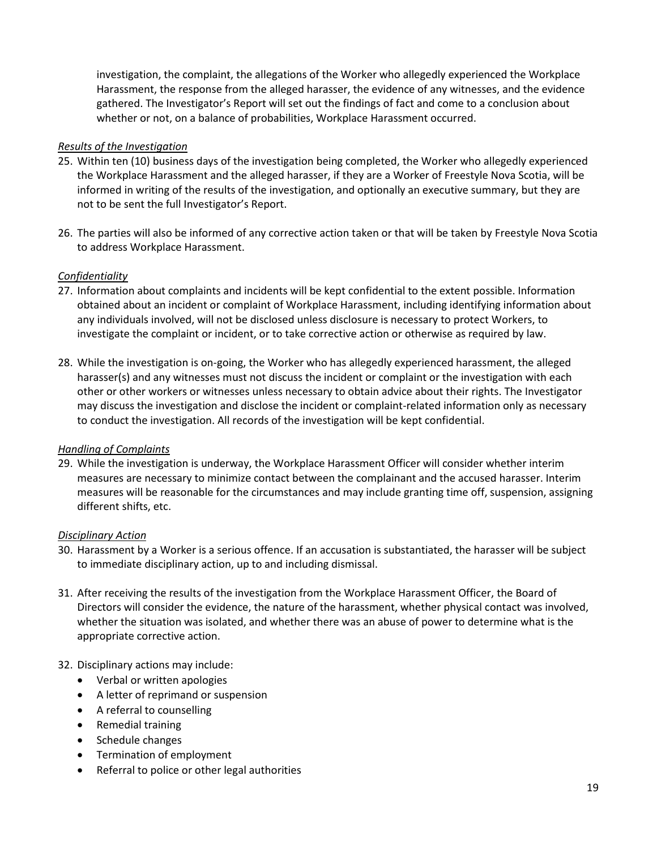investigation, the complaint, the allegations of the Worker who allegedly experienced the Workplace Harassment, the response from the alleged harasser, the evidence of any witnesses, and the evidence gathered. The Investigator's Report will set out the findings of fact and come to a conclusion about whether or not, on a balance of probabilities, Workplace Harassment occurred.

## *Results of the Investigation*

- 25. Within ten (10) business days of the investigation being completed, the Worker who allegedly experienced the Workplace Harassment and the alleged harasser, if they are a Worker of Freestyle Nova Scotia, will be informed in writing of the results of the investigation, and optionally an executive summary, but they are not to be sent the full Investigator's Report.
- 26. The parties will also be informed of any corrective action taken or that will be taken by Freestyle Nova Scotia to address Workplace Harassment.

## *Confidentiality*

- 27. Information about complaints and incidents will be kept confidential to the extent possible. Information obtained about an incident or complaint of Workplace Harassment, including identifying information about any individuals involved, will not be disclosed unless disclosure is necessary to protect Workers, to investigate the complaint or incident, or to take corrective action or otherwise as required by law.
- 28. While the investigation is on-going, the Worker who has allegedly experienced harassment, the alleged harasser(s) and any witnesses must not discuss the incident or complaint or the investigation with each other or other workers or witnesses unless necessary to obtain advice about their rights. The Investigator may discuss the investigation and disclose the incident or complaint-related information only as necessary to conduct the investigation. All records of the investigation will be kept confidential.

## *Handling of Complaints*

29. While the investigation is underway, the Workplace Harassment Officer will consider whether interim measures are necessary to minimize contact between the complainant and the accused harasser. Interim measures will be reasonable for the circumstances and may include granting time off, suspension, assigning different shifts, etc.

## *Disciplinary Action*

- 30. Harassment by a Worker is a serious offence. If an accusation is substantiated, the harasser will be subject to immediate disciplinary action, up to and including dismissal.
- 31. After receiving the results of the investigation from the Workplace Harassment Officer, the Board of Directors will consider the evidence, the nature of the harassment, whether physical contact was involved, whether the situation was isolated, and whether there was an abuse of power to determine what is the appropriate corrective action.

## 32. Disciplinary actions may include:

- Verbal or written apologies
- A letter of reprimand or suspension
- A referral to counselling
- Remedial training
- Schedule changes
- Termination of employment
- Referral to police or other legal authorities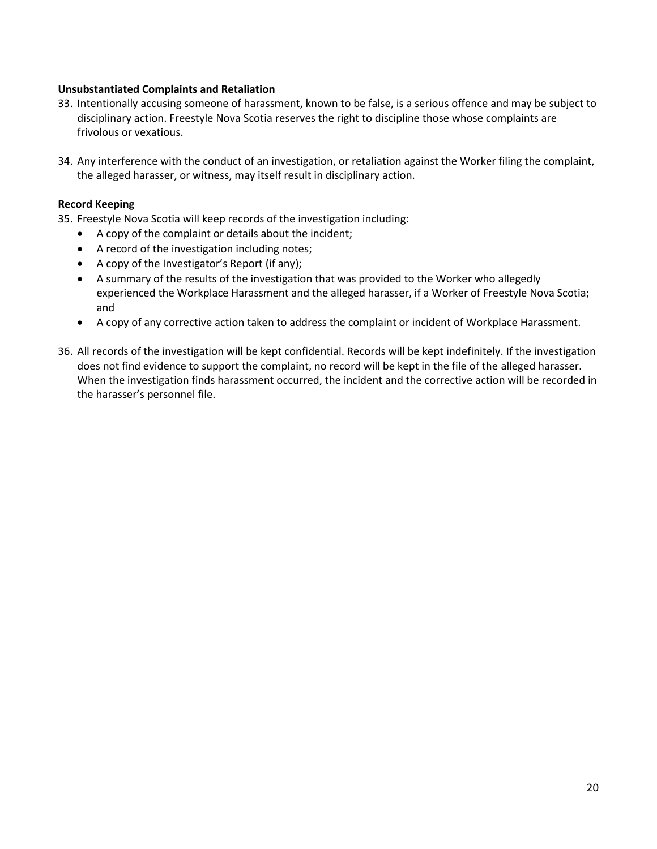## **Unsubstantiated Complaints and Retaliation**

- 33. Intentionally accusing someone of harassment, known to be false, is a serious offence and may be subject to disciplinary action. Freestyle Nova Scotia reserves the right to discipline those whose complaints are frivolous or vexatious.
- 34. Any interference with the conduct of an investigation, or retaliation against the Worker filing the complaint, the alleged harasser, or witness, may itself result in disciplinary action.

## **Record Keeping**

- 35. Freestyle Nova Scotia will keep records of the investigation including:
	- A copy of the complaint or details about the incident;
	- A record of the investigation including notes;
	- A copy of the Investigator's Report (if any);
	- A summary of the results of the investigation that was provided to the Worker who allegedly experienced the Workplace Harassment and the alleged harasser, if a Worker of Freestyle Nova Scotia; and
	- A copy of any corrective action taken to address the complaint or incident of Workplace Harassment.
- 36. All records of the investigation will be kept confidential. Records will be kept indefinitely. If the investigation does not find evidence to support the complaint, no record will be kept in the file of the alleged harasser. When the investigation finds harassment occurred, the incident and the corrective action will be recorded in the harasser's personnel file.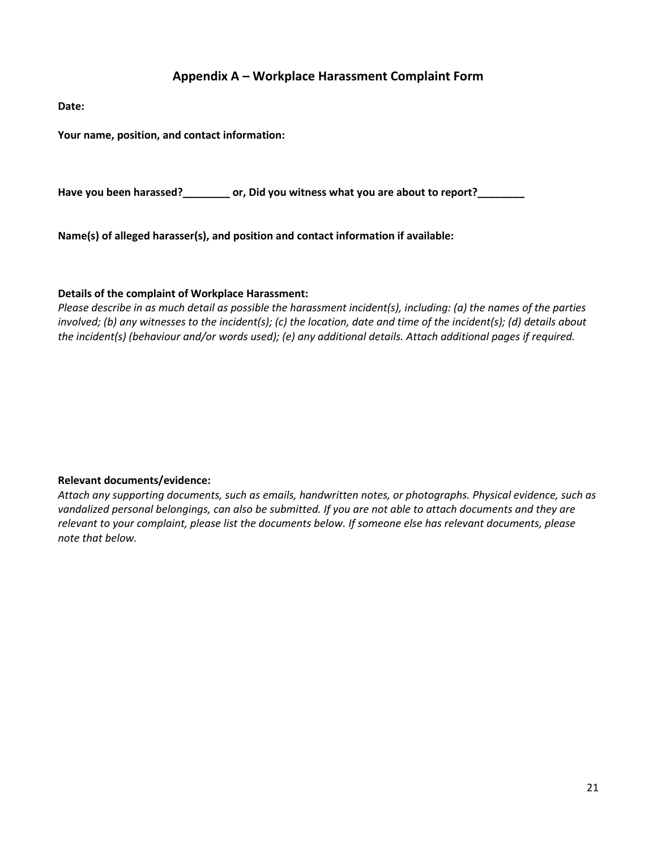# **Appendix A – Workplace Harassment Complaint Form**

<span id="page-20-0"></span>**Date:**

**Your name, position, and contact information:**

**Have you been harassed?\_\_\_\_\_\_\_\_ or, Did you witness what you are about to report?\_\_\_\_\_\_\_\_**

**Name(s) of alleged harasser(s), and position and contact information if available:**

## **Details of the complaint of Workplace Harassment:**

*Please describe in as much detail as possible the harassment incident(s), including: (a) the names of the parties involved; (b) any witnesses to the incident(s); (c) the location, date and time of the incident(s); (d) details about the incident(s) (behaviour and/or words used); (e) any additional details. Attach additional pages if required.*

## **Relevant documents/evidence:**

*Attach any supporting documents, such as emails, handwritten notes, or photographs. Physical evidence, such as vandalized personal belongings, can also be submitted. If you are not able to attach documents and they are relevant to your complaint, please list the documents below. If someone else has relevant documents, please note that below.*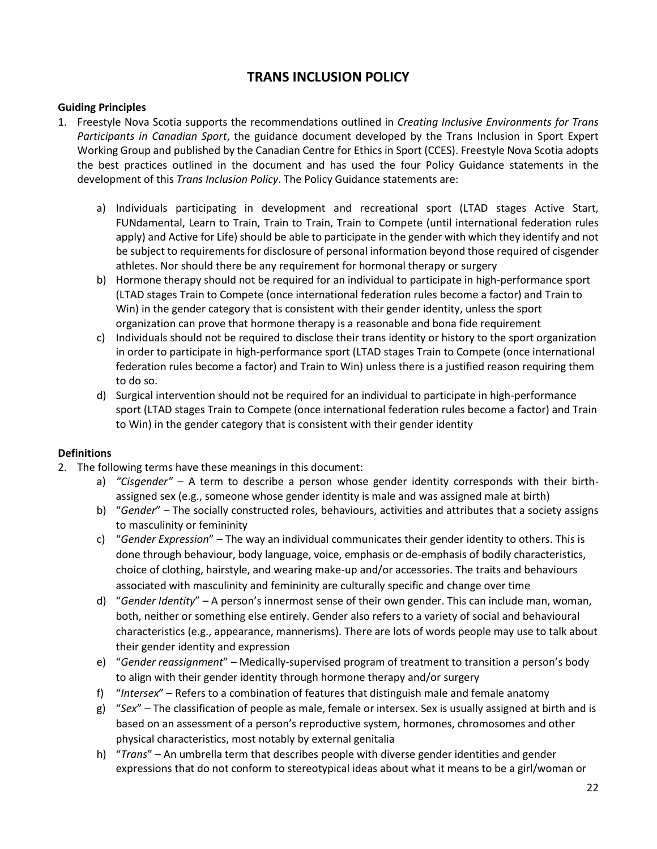# **TRANS INCLUSION POLICY**

## <span id="page-21-0"></span>**Guiding Principles**

- 1. Freestyle Nova Scotia supports the recommendations outlined in *Creating Inclusive Environments for Trans Participants in Canadian Sport*, the guidance document developed by the Trans Inclusion in Sport Expert Working Group and published by the Canadian Centre for Ethics in Sport (CCES). Freestyle Nova Scotia adopts the best practices outlined in the document and has used the four Policy Guidance statements in the development of this *Trans Inclusion Policy*. The Policy Guidance statements are:
	- a) Individuals participating in development and recreational sport (LTAD stages Active Start, FUNdamental, Learn to Train, Train to Train, Train to Compete (until international federation rules apply) and Active for Life) should be able to participate in the gender with which they identify and not be subject to requirements for disclosure of personal information beyond those required of cisgender athletes. Nor should there be any requirement for hormonal therapy or surgery
	- b) Hormone therapy should not be required for an individual to participate in high-performance sport (LTAD stages Train to Compete (once international federation rules become a factor) and Train to Win) in the gender category that is consistent with their gender identity, unless the sport organization can prove that hormone therapy is a reasonable and bona fide requirement
	- c) Individuals should not be required to disclose their trans identity or history to the sport organization in order to participate in high-performance sport (LTAD stages Train to Compete (once international federation rules become a factor) and Train to Win) unless there is a justified reason requiring them to do so.
	- d) Surgical intervention should not be required for an individual to participate in high-performance sport (LTAD stages Train to Compete (once international federation rules become a factor) and Train to Win) in the gender category that is consistent with their gender identity

# **Definitions**

- 2. The following terms have these meanings in this document:
	- a) *"Cisgender"* A term to describe a person whose gender identity corresponds with their birthassigned sex (e.g., someone whose gender identity is male and was assigned male at birth)
	- b) "*Gender*" The socially constructed roles, behaviours, activities and attributes that a society assigns to masculinity or femininity
	- c) "*Gender Expression*" The way an individual communicates their gender identity to others. This is done through behaviour, body language, voice, emphasis or de-emphasis of bodily characteristics, choice of clothing, hairstyle, and wearing make-up and/or accessories. The traits and behaviours associated with masculinity and femininity are culturally specific and change over time
	- d) "*Gender Identity*" A person's innermost sense of their own gender. This can include man, woman, both, neither or something else entirely. Gender also refers to a variety of social and behavioural characteristics (e.g., appearance, mannerisms). There are lots of words people may use to talk about their gender identity and expression
	- e) "*Gender reassignment*" Medically-supervised program of treatment to transition a person's body to align with their gender identity through hormone therapy and/or surgery
	- f) "*Intersex*" Refers to a combination of features that distinguish male and female anatomy
	- g) "*Sex*" The classification of people as male, female or intersex. Sex is usually assigned at birth and is based on an assessment of a person's reproductive system, hormones, chromosomes and other physical characteristics, most notably by external genitalia
	- h) "*Trans*" An umbrella term that describes people with diverse gender identities and gender expressions that do not conform to stereotypical ideas about what it means to be a girl/woman or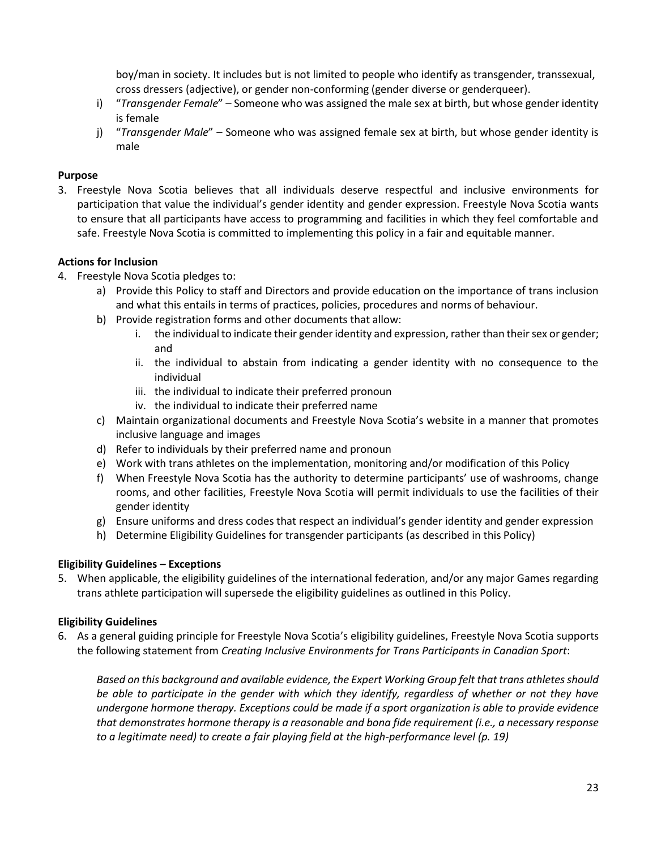boy/man in society. It includes but is not limited to people who identify as transgender, transsexual, cross dressers (adjective), or gender non-conforming (gender diverse or genderqueer).

- i) "*Transgender Female*" Someone who was assigned the male sex at birth, but whose gender identity is female
- j) "*Transgender Male*" Someone who was assigned female sex at birth, but whose gender identity is male

## **Purpose**

3. Freestyle Nova Scotia believes that all individuals deserve respectful and inclusive environments for participation that value the individual's gender identity and gender expression. Freestyle Nova Scotia wants to ensure that all participants have access to programming and facilities in which they feel comfortable and safe. Freestyle Nova Scotia is committed to implementing this policy in a fair and equitable manner.

## **Actions for Inclusion**

- 4. Freestyle Nova Scotia pledges to:
	- a) Provide this Policy to staff and Directors and provide education on the importance of trans inclusion and what this entails in terms of practices, policies, procedures and norms of behaviour.
	- b) Provide registration forms and other documents that allow:
		- i. the individual to indicate their gender identity and expression, rather than their sex or gender; and
		- ii. the individual to abstain from indicating a gender identity with no consequence to the individual
		- iii. the individual to indicate their preferred pronoun
		- iv. the individual to indicate their preferred name
	- c) Maintain organizational documents and Freestyle Nova Scotia's website in a manner that promotes inclusive language and images
	- d) Refer to individuals by their preferred name and pronoun
	- e) Work with trans athletes on the implementation, monitoring and/or modification of this Policy
	- f) When Freestyle Nova Scotia has the authority to determine participants' use of washrooms, change rooms, and other facilities, Freestyle Nova Scotia will permit individuals to use the facilities of their gender identity
	- g) Ensure uniforms and dress codes that respect an individual's gender identity and gender expression
	- h) Determine Eligibility Guidelines for transgender participants (as described in this Policy)

# **Eligibility Guidelines – Exceptions**

5. When applicable, the eligibility guidelines of the international federation, and/or any major Games regarding trans athlete participation will supersede the eligibility guidelines as outlined in this Policy.

# **Eligibility Guidelines**

6. As a general guiding principle for Freestyle Nova Scotia's eligibility guidelines, Freestyle Nova Scotia supports the following statement from *Creating Inclusive Environments for Trans Participants in Canadian Sport*:

*Based on this background and available evidence, the Expert Working Group felt that trans athletes should be able to participate in the gender with which they identify, regardless of whether or not they have undergone hormone therapy. Exceptions could be made if a sport organization is able to provide evidence that demonstrates hormone therapy is a reasonable and bona fide requirement (i.e., a necessary response to a legitimate need) to create a fair playing field at the high-performance level (p. 19)*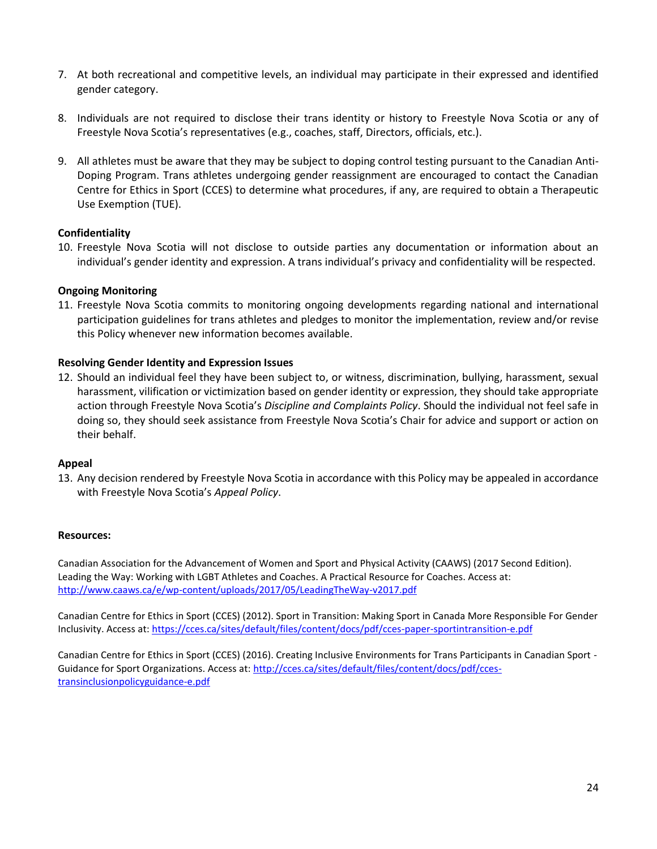- 7. At both recreational and competitive levels, an individual may participate in their expressed and identified gender category.
- 8. Individuals are not required to disclose their trans identity or history to Freestyle Nova Scotia or any of Freestyle Nova Scotia's representatives (e.g., coaches, staff, Directors, officials, etc.).
- 9. All athletes must be aware that they may be subject to doping control testing pursuant to the Canadian Anti-Doping Program. Trans athletes undergoing gender reassignment are encouraged to contact the Canadian Centre for Ethics in Sport (CCES) to determine what procedures, if any, are required to obtain a Therapeutic Use Exemption (TUE).

## **Confidentiality**

10. Freestyle Nova Scotia will not disclose to outside parties any documentation or information about an individual's gender identity and expression. A trans individual's privacy and confidentiality will be respected.

## **Ongoing Monitoring**

11. Freestyle Nova Scotia commits to monitoring ongoing developments regarding national and international participation guidelines for trans athletes and pledges to monitor the implementation, review and/or revise this Policy whenever new information becomes available.

## **Resolving Gender Identity and Expression Issues**

12. Should an individual feel they have been subject to, or witness, discrimination, bullying, harassment, sexual harassment, vilification or victimization based on gender identity or expression, they should take appropriate action through Freestyle Nova Scotia's *Discipline and Complaints Policy*. Should the individual not feel safe in doing so, they should seek assistance from Freestyle Nova Scotia's Chair for advice and support or action on their behalf.

## **Appeal**

13. Any decision rendered by Freestyle Nova Scotia in accordance with this Policy may be appealed in accordance with Freestyle Nova Scotia's *Appeal Policy*.

## **Resources:**

Canadian Association for the Advancement of Women and Sport and Physical Activity (CAAWS) (2017 Second Edition). Leading the Way: Working with LGBT Athletes and Coaches. A Practical Resource for Coaches. Access at: <http://www.caaws.ca/e/wp-content/uploads/2017/05/LeadingTheWay-v2017.pdf>

Canadian Centre for Ethics in Sport (CCES) (2012). Sport in Transition: Making Sport in Canada More Responsible For Gender Inclusivity. Access at: <https://cces.ca/sites/default/files/content/docs/pdf/cces-paper-sportintransition-e.pdf>

Canadian Centre for Ethics in Sport (CCES) (2016). Creating Inclusive Environments for Trans Participants in Canadian Sport Guidance for Sport Organizations. Access at: [http://cces.ca/sites/default/files/content/docs/pdf/cces](http://cces.ca/sites/default/files/content/docs/pdf/cces-transinclusionpolicyguidance-e.pdf)[transinclusionpolicyguidance-e.pdf](http://cces.ca/sites/default/files/content/docs/pdf/cces-transinclusionpolicyguidance-e.pdf)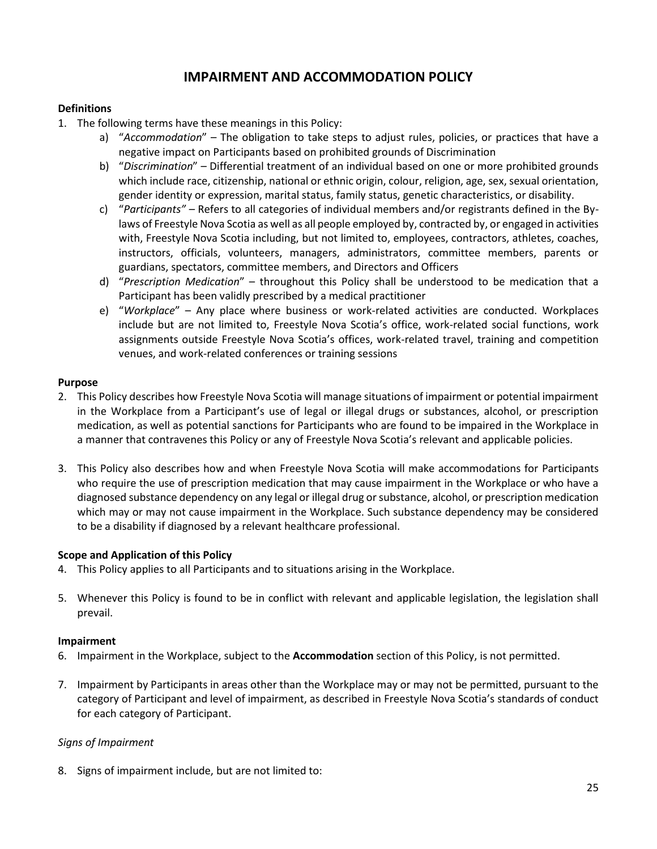# **IMPAIRMENT AND ACCOMMODATION POLICY**

## <span id="page-24-0"></span>**Definitions**

- 1. The following terms have these meanings in this Policy:
	- a) "*Accommodation*" The obligation to take steps to adjust rules, policies, or practices that have a negative impact on Participants based on prohibited grounds of Discrimination
	- b) "*Discrimination*" Differential treatment of an individual based on one or more prohibited grounds which include race, citizenship, national or ethnic origin, colour, religion, age, sex, sexual orientation, gender identity or expression, marital status, family status, genetic characteristics, or disability.
	- c) "*Participants" –* Refers to all categories of individual members and/or registrants defined in the Bylaws of Freestyle Nova Scotia as well as all people employed by, contracted by, or engaged in activities with, Freestyle Nova Scotia including, but not limited to, employees, contractors, athletes, coaches, instructors, officials, volunteers, managers, administrators, committee members, parents or guardians, spectators, committee members, and Directors and Officers
	- d) "*Prescription Medication*" throughout this Policy shall be understood to be medication that a Participant has been validly prescribed by a medical practitioner
	- e) "*Workplace*" Any place where business or work-related activities are conducted. Workplaces include but are not limited to, Freestyle Nova Scotia's office, work-related social functions, work assignments outside Freestyle Nova Scotia's offices, work-related travel, training and competition venues, and work-related conferences or training sessions

## **Purpose**

- 2. This Policy describes how Freestyle Nova Scotia will manage situations of impairment or potential impairment in the Workplace from a Participant's use of legal or illegal drugs or substances, alcohol, or prescription medication, as well as potential sanctions for Participants who are found to be impaired in the Workplace in a manner that contravenes this Policy or any of Freestyle Nova Scotia's relevant and applicable policies.
- 3. This Policy also describes how and when Freestyle Nova Scotia will make accommodations for Participants who require the use of prescription medication that may cause impairment in the Workplace or who have a diagnosed substance dependency on any legal or illegal drug or substance, alcohol, or prescription medication which may or may not cause impairment in the Workplace. Such substance dependency may be considered to be a disability if diagnosed by a relevant healthcare professional.

## **Scope and Application of this Policy**

- 4. This Policy applies to all Participants and to situations arising in the Workplace.
- 5. Whenever this Policy is found to be in conflict with relevant and applicable legislation, the legislation shall prevail.

## **Impairment**

- 6. Impairment in the Workplace, subject to the **Accommodation** section of this Policy, is not permitted.
- 7. Impairment by Participants in areas other than the Workplace may or may not be permitted, pursuant to the category of Participant and level of impairment, as described in Freestyle Nova Scotia's standards of conduct for each category of Participant.

## *Signs of Impairment*

8. Signs of impairment include, but are not limited to: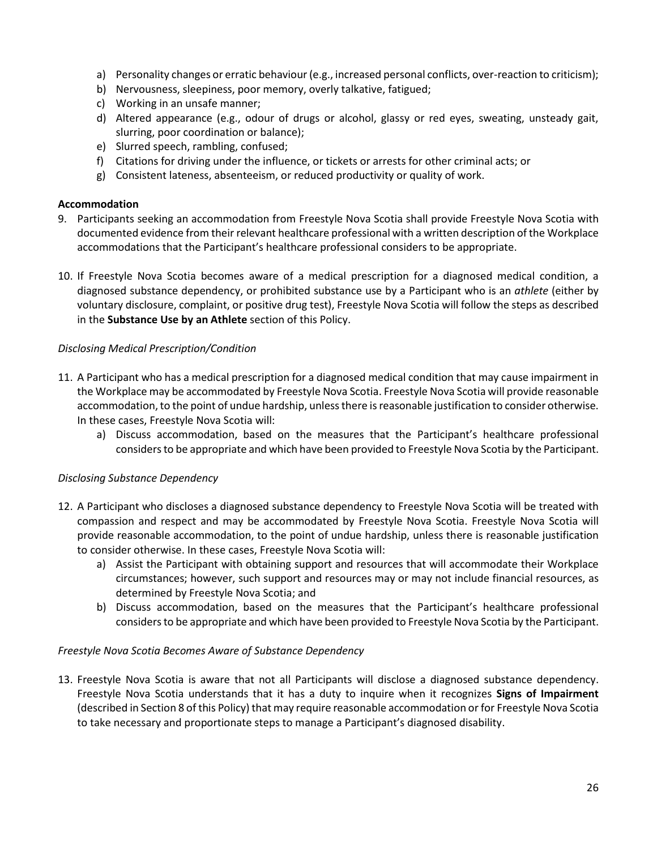- a) Personality changes or erratic behaviour (e.g., increased personal conflicts, over-reaction to criticism);
- b) Nervousness, sleepiness, poor memory, overly talkative, fatigued;
- c) Working in an unsafe manner;
- d) Altered appearance (e.g., odour of drugs or alcohol, glassy or red eyes, sweating, unsteady gait, slurring, poor coordination or balance);
- e) Slurred speech, rambling, confused;
- f) Citations for driving under the influence, or tickets or arrests for other criminal acts; or
- g) Consistent lateness, absenteeism, or reduced productivity or quality of work.

## **Accommodation**

- 9. Participants seeking an accommodation from Freestyle Nova Scotia shall provide Freestyle Nova Scotia with documented evidence from their relevant healthcare professional with a written description of the Workplace accommodations that the Participant's healthcare professional considers to be appropriate.
- 10. If Freestyle Nova Scotia becomes aware of a medical prescription for a diagnosed medical condition, a diagnosed substance dependency, or prohibited substance use by a Participant who is an *athlete* (either by voluntary disclosure, complaint, or positive drug test), Freestyle Nova Scotia will follow the steps as described in the **Substance Use by an Athlete** section of this Policy.

## *Disclosing Medical Prescription/Condition*

- 11. A Participant who has a medical prescription for a diagnosed medical condition that may cause impairment in the Workplace may be accommodated by Freestyle Nova Scotia. Freestyle Nova Scotia will provide reasonable accommodation, to the point of undue hardship, unless there is reasonable justification to consider otherwise. In these cases, Freestyle Nova Scotia will:
	- a) Discuss accommodation, based on the measures that the Participant's healthcare professional considers to be appropriate and which have been provided to Freestyle Nova Scotia by the Participant.

## *Disclosing Substance Dependency*

- 12. A Participant who discloses a diagnosed substance dependency to Freestyle Nova Scotia will be treated with compassion and respect and may be accommodated by Freestyle Nova Scotia. Freestyle Nova Scotia will provide reasonable accommodation, to the point of undue hardship, unless there is reasonable justification to consider otherwise. In these cases, Freestyle Nova Scotia will:
	- a) Assist the Participant with obtaining support and resources that will accommodate their Workplace circumstances; however, such support and resources may or may not include financial resources, as determined by Freestyle Nova Scotia; and
	- b) Discuss accommodation, based on the measures that the Participant's healthcare professional considers to be appropriate and which have been provided to Freestyle Nova Scotia by the Participant.

## *Freestyle Nova Scotia Becomes Aware of Substance Dependency*

13. Freestyle Nova Scotia is aware that not all Participants will disclose a diagnosed substance dependency. Freestyle Nova Scotia understands that it has a duty to inquire when it recognizes **Signs of Impairment** (described in Section 8 of this Policy) that may require reasonable accommodation or for Freestyle Nova Scotia to take necessary and proportionate steps to manage a Participant's diagnosed disability.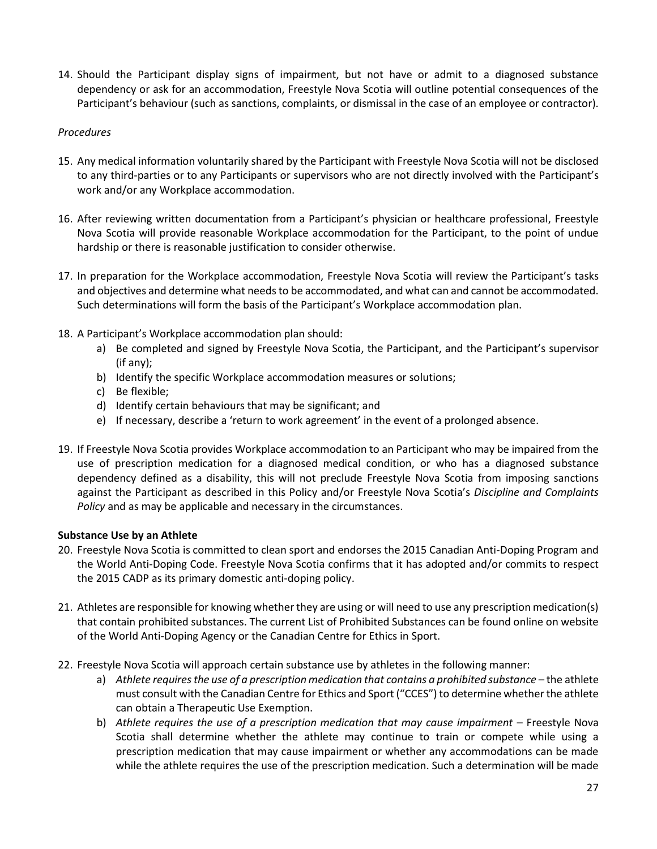14. Should the Participant display signs of impairment, but not have or admit to a diagnosed substance dependency or ask for an accommodation, Freestyle Nova Scotia will outline potential consequences of the Participant's behaviour (such as sanctions, complaints, or dismissal in the case of an employee or contractor).

## *Procedures*

- 15. Any medical information voluntarily shared by the Participant with Freestyle Nova Scotia will not be disclosed to any third-parties or to any Participants or supervisors who are not directly involved with the Participant's work and/or any Workplace accommodation.
- 16. After reviewing written documentation from a Participant's physician or healthcare professional, Freestyle Nova Scotia will provide reasonable Workplace accommodation for the Participant, to the point of undue hardship or there is reasonable justification to consider otherwise.
- 17. In preparation for the Workplace accommodation, Freestyle Nova Scotia will review the Participant's tasks and objectives and determine what needs to be accommodated, and what can and cannot be accommodated. Such determinations will form the basis of the Participant's Workplace accommodation plan.
- 18. A Participant's Workplace accommodation plan should:
	- a) Be completed and signed by Freestyle Nova Scotia, the Participant, and the Participant's supervisor (if any);
	- b) Identify the specific Workplace accommodation measures or solutions;
	- c) Be flexible;
	- d) Identify certain behaviours that may be significant; and
	- e) If necessary, describe a 'return to work agreement' in the event of a prolonged absence.
- 19. If Freestyle Nova Scotia provides Workplace accommodation to an Participant who may be impaired from the use of prescription medication for a diagnosed medical condition, or who has a diagnosed substance dependency defined as a disability, this will not preclude Freestyle Nova Scotia from imposing sanctions against the Participant as described in this Policy and/or Freestyle Nova Scotia's *Discipline and Complaints Policy* and as may be applicable and necessary in the circumstances.

## **Substance Use by an Athlete**

- 20. Freestyle Nova Scotia is committed to clean sport and endorses the 2015 Canadian Anti-Doping Program and the World Anti-Doping Code. Freestyle Nova Scotia confirms that it has adopted and/or commits to respect the 2015 CADP as its primary domestic anti-doping policy.
- 21. Athletes are responsible for knowing whether they are using or will need to use any prescription medication(s) that contain prohibited substances. The current List of Prohibited Substances can be found online on website of the World Anti-Doping Agency or the Canadian Centre for Ethics in Sport.
- 22. Freestyle Nova Scotia will approach certain substance use by athletes in the following manner:
	- a) *Athlete requires the use of a prescription medication that contains a prohibited substance* the athlete must consult with the Canadian Centre for Ethics and Sport ("CCES") to determine whether the athlete can obtain a Therapeutic Use Exemption.
	- b) *Athlete requires the use of a prescription medication that may cause impairment* Freestyle Nova Scotia shall determine whether the athlete may continue to train or compete while using a prescription medication that may cause impairment or whether any accommodations can be made while the athlete requires the use of the prescription medication. Such a determination will be made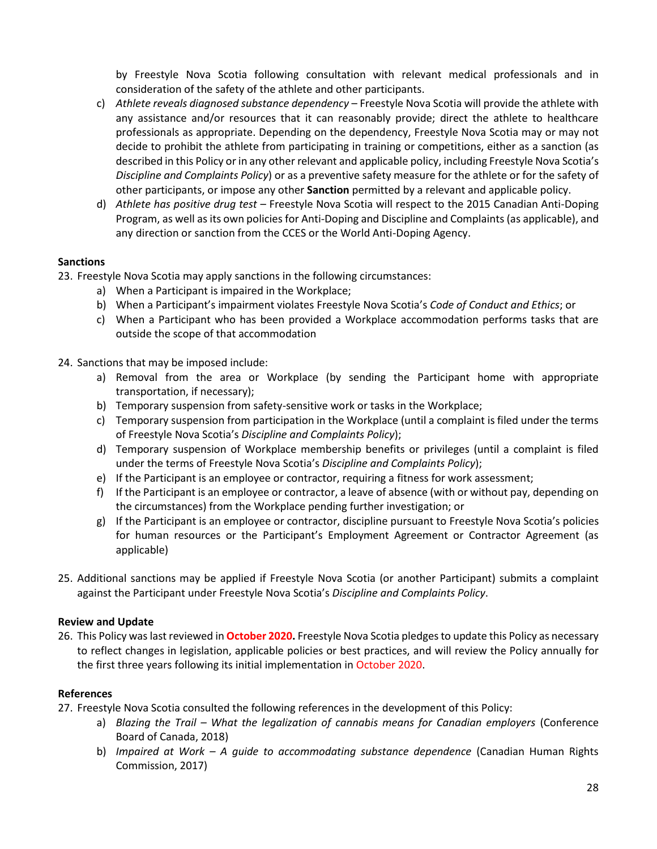by Freestyle Nova Scotia following consultation with relevant medical professionals and in consideration of the safety of the athlete and other participants.

- c) *Athlete reveals diagnosed substance dependency*  Freestyle Nova Scotia will provide the athlete with any assistance and/or resources that it can reasonably provide; direct the athlete to healthcare professionals as appropriate. Depending on the dependency, Freestyle Nova Scotia may or may not decide to prohibit the athlete from participating in training or competitions, either as a sanction (as described in this Policy or in any other relevant and applicable policy, including Freestyle Nova Scotia's *Discipline and Complaints Policy*) or as a preventive safety measure for the athlete or for the safety of other participants, or impose any other **Sanction** permitted by a relevant and applicable policy.
- d) *Athlete has positive drug test* Freestyle Nova Scotia will respect to the 2015 Canadian Anti-Doping Program, as well as its own policies for Anti-Doping and Discipline and Complaints (as applicable), and any direction or sanction from the CCES or the World Anti-Doping Agency.

# **Sanctions**

- 23. Freestyle Nova Scotia may apply sanctions in the following circumstances:
	- a) When a Participant is impaired in the Workplace;
	- b) When a Participant's impairment violates Freestyle Nova Scotia's *Code of Conduct and Ethics*; or
	- c) When a Participant who has been provided a Workplace accommodation performs tasks that are outside the scope of that accommodation

## 24. Sanctions that may be imposed include:

- a) Removal from the area or Workplace (by sending the Participant home with appropriate transportation, if necessary);
- b) Temporary suspension from safety-sensitive work or tasks in the Workplace;
- c) Temporary suspension from participation in the Workplace (until a complaint is filed under the terms of Freestyle Nova Scotia's *Discipline and Complaints Policy*);
- d) Temporary suspension of Workplace membership benefits or privileges (until a complaint is filed under the terms of Freestyle Nova Scotia's *Discipline and Complaints Policy*);
- e) If the Participant is an employee or contractor, requiring a fitness for work assessment;
- f) If the Participant is an employee or contractor, a leave of absence (with or without pay, depending on the circumstances) from the Workplace pending further investigation; or
- g) If the Participant is an employee or contractor, discipline pursuant to Freestyle Nova Scotia's policies for human resources or the Participant's Employment Agreement or Contractor Agreement (as applicable)
- 25. Additional sanctions may be applied if Freestyle Nova Scotia (or another Participant) submits a complaint against the Participant under Freestyle Nova Scotia's *Discipline and Complaints Policy*.

## **Review and Update**

26. This Policy was last reviewed in **October 2020.** Freestyle Nova Scotia pledges to update this Policy as necessary to reflect changes in legislation, applicable policies or best practices, and will review the Policy annually for the first three years following its initial implementation in October 2020.

## **References**

- 27. Freestyle Nova Scotia consulted the following references in the development of this Policy:
	- a) *Blazing the Trail – What the legalization of cannabis means for Canadian employers* (Conference Board of Canada, 2018)
	- b) *Impaired at Work – A guide to accommodating substance dependence* (Canadian Human Rights Commission, 2017)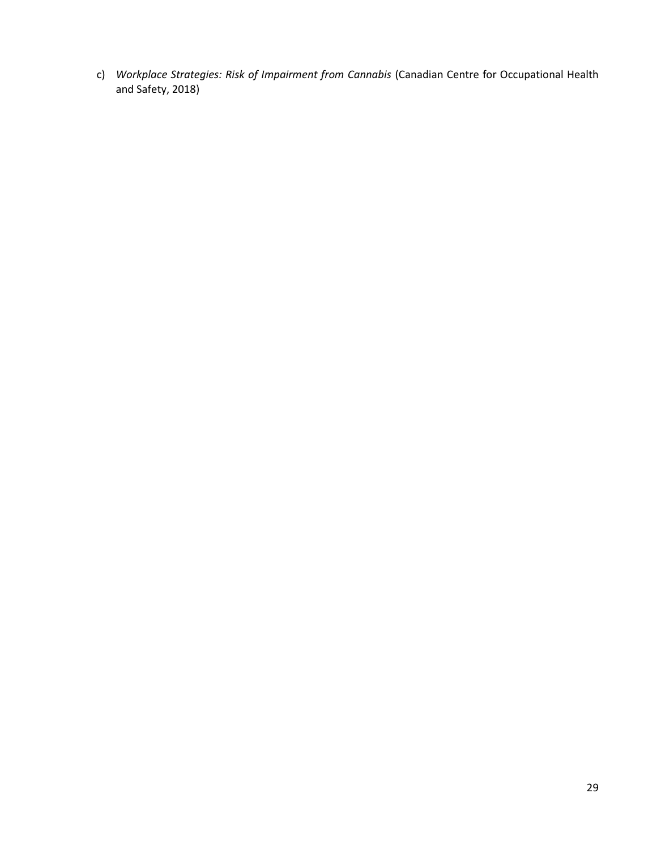c) *Workplace Strategies: Risk of Impairment from Cannabis* (Canadian Centre for Occupational Health and Safety, 2018)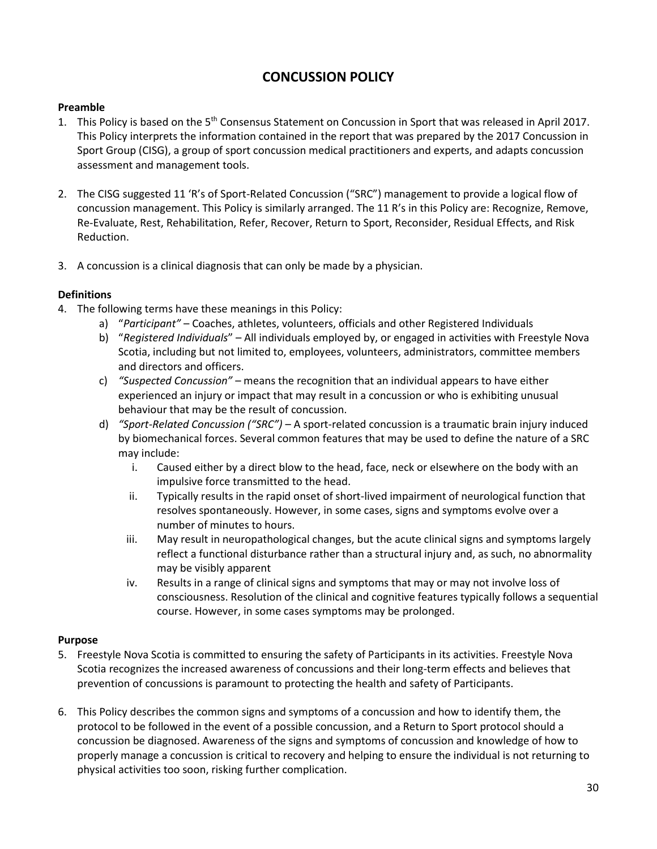# **CONCUSSION POLICY**

## <span id="page-29-0"></span>**Preamble**

- 1. This Policy is based on the 5th Consensus Statement on Concussion in Sport that was released in April 2017. This Policy interprets the information contained in the report that was prepared by the 2017 Concussion in Sport Group (CISG), a group of sport concussion medical practitioners and experts, and adapts concussion assessment and management tools.
- 2. The CISG suggested 11 'R's of Sport-Related Concussion ("SRC") management to provide a logical flow of concussion management. This Policy is similarly arranged. The 11 R's in this Policy are: Recognize, Remove, Re-Evaluate, Rest, Rehabilitation, Refer, Recover, Return to Sport, Reconsider, Residual Effects, and Risk Reduction.
- 3. A concussion is a clinical diagnosis that can only be made by a physician.

## **Definitions**

- 4. The following terms have these meanings in this Policy:
	- a) "*Participant"*  Coaches, athletes, volunteers, officials and other Registered Individuals
	- b) "*Registered Individuals*" All individuals employed by, or engaged in activities with Freestyle Nova Scotia, including but not limited to, employees, volunteers, administrators, committee members and directors and officers.
	- c) *"Suspected Concussion"*  means the recognition that an individual appears to have either experienced an injury or impact that may result in a concussion or who is exhibiting unusual behaviour that may be the result of concussion.
	- d) *"Sport-Related Concussion ("SRC")* A sport-related concussion is a traumatic brain injury induced by biomechanical forces. Several common features that may be used to define the nature of a SRC may include:
		- i. Caused either by a direct blow to the head, face, neck or elsewhere on the body with an impulsive force transmitted to the head.
		- ii. Typically results in the rapid onset of short-lived impairment of neurological function that resolves spontaneously. However, in some cases, signs and symptoms evolve over a number of minutes to hours.
		- iii. May result in neuropathological changes, but the acute clinical signs and symptoms largely reflect a functional disturbance rather than a structural injury and, as such, no abnormality may be visibly apparent
		- iv. Results in a range of clinical signs and symptoms that may or may not involve loss of consciousness. Resolution of the clinical and cognitive features typically follows a sequential course. However, in some cases symptoms may be prolonged.

## **Purpose**

- 5. Freestyle Nova Scotia is committed to ensuring the safety of Participants in its activities. Freestyle Nova Scotia recognizes the increased awareness of concussions and their long-term effects and believes that prevention of concussions is paramount to protecting the health and safety of Participants.
- 6. This Policy describes the common signs and symptoms of a concussion and how to identify them, the protocol to be followed in the event of a possible concussion, and a Return to Sport protocol should a concussion be diagnosed. Awareness of the signs and symptoms of concussion and knowledge of how to properly manage a concussion is critical to recovery and helping to ensure the individual is not returning to physical activities too soon, risking further complication.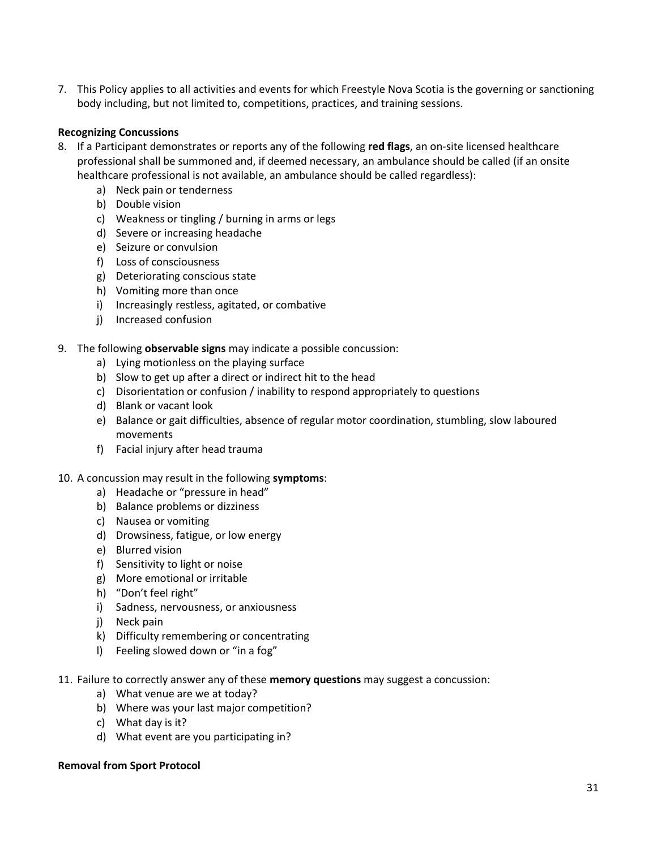7. This Policy applies to all activities and events for which Freestyle Nova Scotia is the governing or sanctioning body including, but not limited to, competitions, practices, and training sessions.

## **Recognizing Concussions**

- 8. If a Participant demonstrates or reports any of the following **red flags**, an on-site licensed healthcare professional shall be summoned and, if deemed necessary, an ambulance should be called (if an onsite healthcare professional is not available, an ambulance should be called regardless):
	- a) Neck pain or tenderness
	- b) Double vision
	- c) Weakness or tingling / burning in arms or legs
	- d) Severe or increasing headache
	- e) Seizure or convulsion
	- f) Loss of consciousness
	- g) Deteriorating conscious state
	- h) Vomiting more than once
	- i) Increasingly restless, agitated, or combative
	- j) Increased confusion
- 9. The following **observable signs** may indicate a possible concussion:
	- a) Lying motionless on the playing surface
	- b) Slow to get up after a direct or indirect hit to the head
	- c) Disorientation or confusion / inability to respond appropriately to questions
	- d) Blank or vacant look
	- e) Balance or gait difficulties, absence of regular motor coordination, stumbling, slow laboured movements
	- f) Facial injury after head trauma

## 10. A concussion may result in the following **symptoms**:

- a) Headache or "pressure in head"
- b) Balance problems or dizziness
- c) Nausea or vomiting
- d) Drowsiness, fatigue, or low energy
- e) Blurred vision
- f) Sensitivity to light or noise
- g) More emotional or irritable
- h) "Don't feel right"
- i) Sadness, nervousness, or anxiousness
- j) Neck pain
- k) Difficulty remembering or concentrating
- l) Feeling slowed down or "in a fog"
- 11. Failure to correctly answer any of these **memory questions** may suggest a concussion:
	- a) What venue are we at today?
	- b) Where was your last major competition?
	- c) What day is it?
	- d) What event are you participating in?

#### **Removal from Sport Protocol**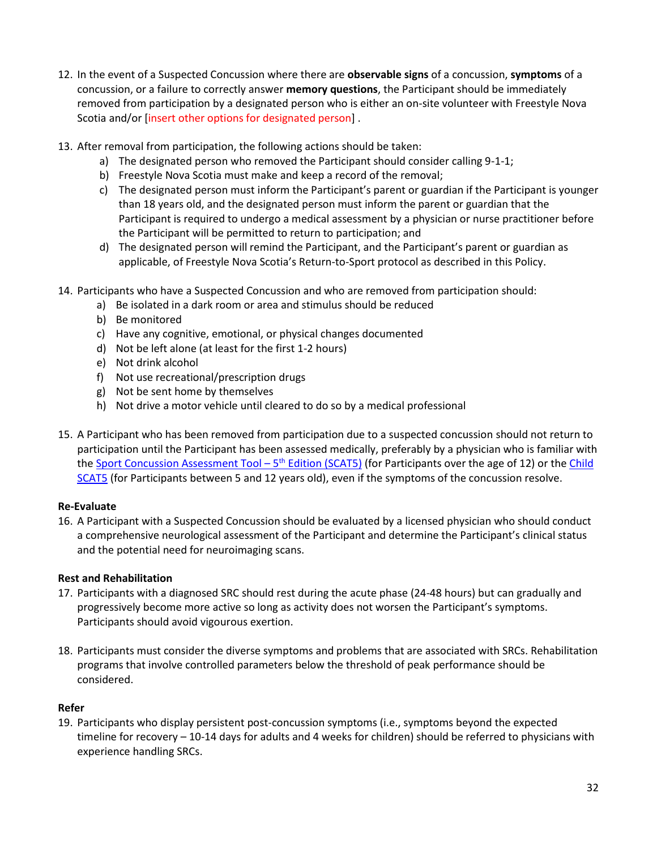- 12. In the event of a Suspected Concussion where there are **observable signs** of a concussion, **symptoms** of a concussion, or a failure to correctly answer **memory questions**, the Participant should be immediately removed from participation by a designated person who is either an on-site volunteer with Freestyle Nova Scotia and/or [insert other options for designated person] .
- 13. After removal from participation, the following actions should be taken:
	- a) The designated person who removed the Participant should consider calling 9-1-1;
	- b) Freestyle Nova Scotia must make and keep a record of the removal;
	- c) The designated person must inform the Participant's parent or guardian if the Participant is younger than 18 years old, and the designated person must inform the parent or guardian that the Participant is required to undergo a medical assessment by a physician or nurse practitioner before the Participant will be permitted to return to participation; and
	- d) The designated person will remind the Participant, and the Participant's parent or guardian as applicable, of Freestyle Nova Scotia's Return-to-Sport protocol as described in this Policy.
- 14. Participants who have a Suspected Concussion and who are removed from participation should:
	- a) Be isolated in a dark room or area and stimulus should be reduced
	- b) Be monitored
	- c) Have any cognitive, emotional, or physical changes documented
	- d) Not be left alone (at least for the first 1-2 hours)
	- e) Not drink alcohol
	- f) Not use recreational/prescription drugs
	- g) Not be sent home by themselves
	- h) Not drive a motor vehicle until cleared to do so by a medical professional
- 15. A Participant who has been removed from participation due to a suspected concussion should not return to participation until the Participant has been assessed medically, preferably by a physician who is familiar with th[e Sport Concussion Assessment Tool](http://www.sportphysio.ca/wp-content/uploads/SCAT-5.pdf) – 5<sup>th</sup> Edition (SCAT5) (for Participants over the age of 12) or the Child [SCAT5](http://www.sportphysio.ca/wp-content/uploads/bjsports-2017-097492childscat5.full-2.pdf) (for Participants between 5 and 12 years old), even if the symptoms of the concussion resolve.

## **Re-Evaluate**

16. A Participant with a Suspected Concussion should be evaluated by a licensed physician who should conduct a comprehensive neurological assessment of the Participant and determine the Participant's clinical status and the potential need for neuroimaging scans.

## **Rest and Rehabilitation**

- 17. Participants with a diagnosed SRC should rest during the acute phase (24-48 hours) but can gradually and progressively become more active so long as activity does not worsen the Participant's symptoms. Participants should avoid vigourous exertion.
- 18. Participants must consider the diverse symptoms and problems that are associated with SRCs. Rehabilitation programs that involve controlled parameters below the threshold of peak performance should be considered.

## **Refer**

19. Participants who display persistent post-concussion symptoms (i.e., symptoms beyond the expected timeline for recovery – 10-14 days for adults and 4 weeks for children) should be referred to physicians with experience handling SRCs.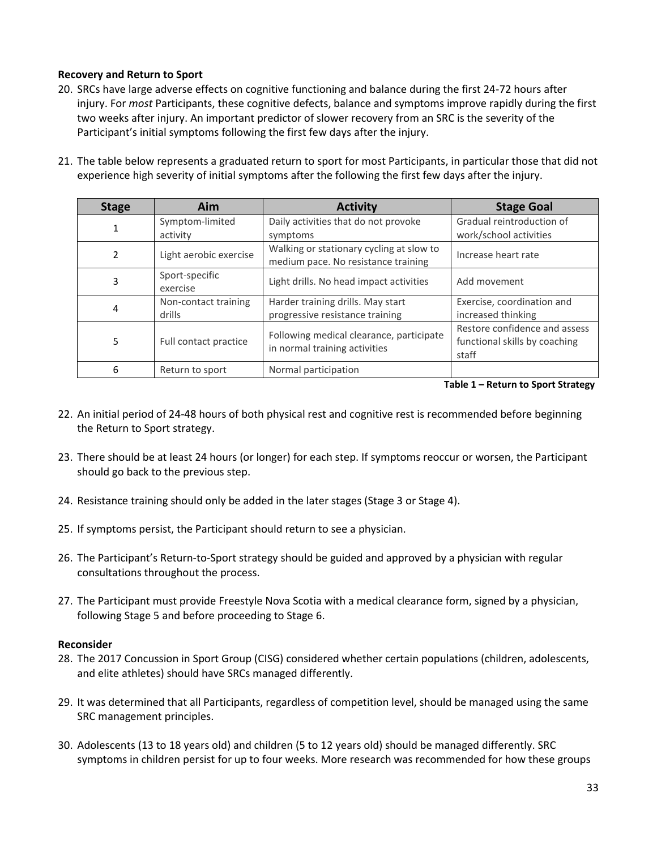## **Recovery and Return to Sport**

- 20. SRCs have large adverse effects on cognitive functioning and balance during the first 24-72 hours after injury. For *most* Participants, these cognitive defects, balance and symptoms improve rapidly during the first two weeks after injury. An important predictor of slower recovery from an SRC is the severity of the Participant's initial symptoms following the first few days after the injury.
- 21. The table below represents a graduated return to sport for most Participants, in particular those that did not experience high severity of initial symptoms after the following the first few days after the injury.

| <b>Stage</b> | Aim                            | <b>Activity</b>                                                                 | <b>Stage Goal</b>                                                       |
|--------------|--------------------------------|---------------------------------------------------------------------------------|-------------------------------------------------------------------------|
|              | Symptom-limited<br>activity    | Daily activities that do not provoke<br>symptoms                                | Gradual reintroduction of<br>work/school activities                     |
| 2            | Light aerobic exercise         | Walking or stationary cycling at slow to<br>medium pace. No resistance training | Increase heart rate                                                     |
| 3            | Sport-specific<br>exercise     | Light drills. No head impact activities                                         | Add movement                                                            |
| 4            | Non-contact training<br>drills | Harder training drills. May start<br>progressive resistance training            | Exercise, coordination and<br>increased thinking                        |
| 5            | Full contact practice          | Following medical clearance, participate<br>in normal training activities       | Restore confidence and assess<br>functional skills by coaching<br>staff |
| 6            | Return to sport                | Normal participation                                                            |                                                                         |

**Table 1 – Return to Sport Strategy**

- 22. An initial period of 24-48 hours of both physical rest and cognitive rest is recommended before beginning the Return to Sport strategy.
- 23. There should be at least 24 hours (or longer) for each step. If symptoms reoccur or worsen, the Participant should go back to the previous step.
- 24. Resistance training should only be added in the later stages (Stage 3 or Stage 4).
- 25. If symptoms persist, the Participant should return to see a physician.
- 26. The Participant's Return-to-Sport strategy should be guided and approved by a physician with regular consultations throughout the process.
- 27. The Participant must provide Freestyle Nova Scotia with a medical clearance form, signed by a physician, following Stage 5 and before proceeding to Stage 6.

## **Reconsider**

- 28. The 2017 Concussion in Sport Group (CISG) considered whether certain populations (children, adolescents, and elite athletes) should have SRCs managed differently.
- 29. It was determined that all Participants, regardless of competition level, should be managed using the same SRC management principles.
- 30. Adolescents (13 to 18 years old) and children (5 to 12 years old) should be managed differently. SRC symptoms in children persist for up to four weeks. More research was recommended for how these groups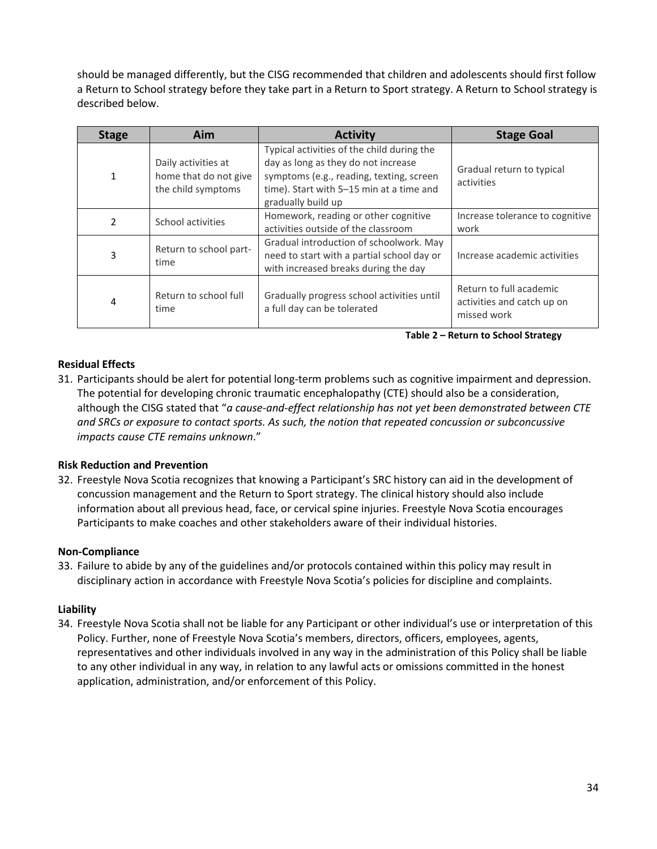should be managed differently, but the CISG recommended that children and adolescents should first follow a Return to School strategy before they take part in a Return to Sport strategy. A Return to School strategy is described below.

| <b>Stage</b>   | Aim                                                                | <b>Activity</b>                                                                                                                                                                                 | <b>Stage Goal</b>                                                    |
|----------------|--------------------------------------------------------------------|-------------------------------------------------------------------------------------------------------------------------------------------------------------------------------------------------|----------------------------------------------------------------------|
| 1              | Daily activities at<br>home that do not give<br>the child symptoms | Typical activities of the child during the<br>day as long as they do not increase<br>symptoms (e.g., reading, texting, screen<br>time). Start with 5-15 min at a time and<br>gradually build up | Gradual return to typical<br>activities                              |
| $\mathfrak{p}$ | School activities                                                  | Homework, reading or other cognitive<br>activities outside of the classroom                                                                                                                     | Increase tolerance to cognitive<br>work                              |
| 3              | Return to school part-<br>time                                     | Gradual introduction of schoolwork. May<br>need to start with a partial school day or<br>with increased breaks during the day                                                                   | Increase academic activities                                         |
| 4              | Return to school full<br>time                                      | Gradually progress school activities until<br>a full day can be tolerated                                                                                                                       | Return to full academic<br>activities and catch up on<br>missed work |

**Table 2 – Return to School Strategy**

## **Residual Effects**

31. Participants should be alert for potential long-term problems such as cognitive impairment and depression. The potential for developing chronic traumatic encephalopathy (CTE) should also be a consideration, although the CISG stated that "*a cause-and-effect relationship has not yet been demonstrated between CTE and SRCs or exposure to contact sports. As such, the notion that repeated concussion or subconcussive impacts cause CTE remains unknown*."

## **Risk Reduction and Prevention**

32. Freestyle Nova Scotia recognizes that knowing a Participant's SRC history can aid in the development of concussion management and the Return to Sport strategy. The clinical history should also include information about all previous head, face, or cervical spine injuries. Freestyle Nova Scotia encourages Participants to make coaches and other stakeholders aware of their individual histories.

## **Non-Compliance**

33. Failure to abide by any of the guidelines and/or protocols contained within this policy may result in disciplinary action in accordance with Freestyle Nova Scotia's policies for discipline and complaints.

## **Liability**

34. Freestyle Nova Scotia shall not be liable for any Participant or other individual's use or interpretation of this Policy. Further, none of Freestyle Nova Scotia's members, directors, officers, employees, agents, representatives and other individuals involved in any way in the administration of this Policy shall be liable to any other individual in any way, in relation to any lawful acts or omissions committed in the honest application, administration, and/or enforcement of this Policy.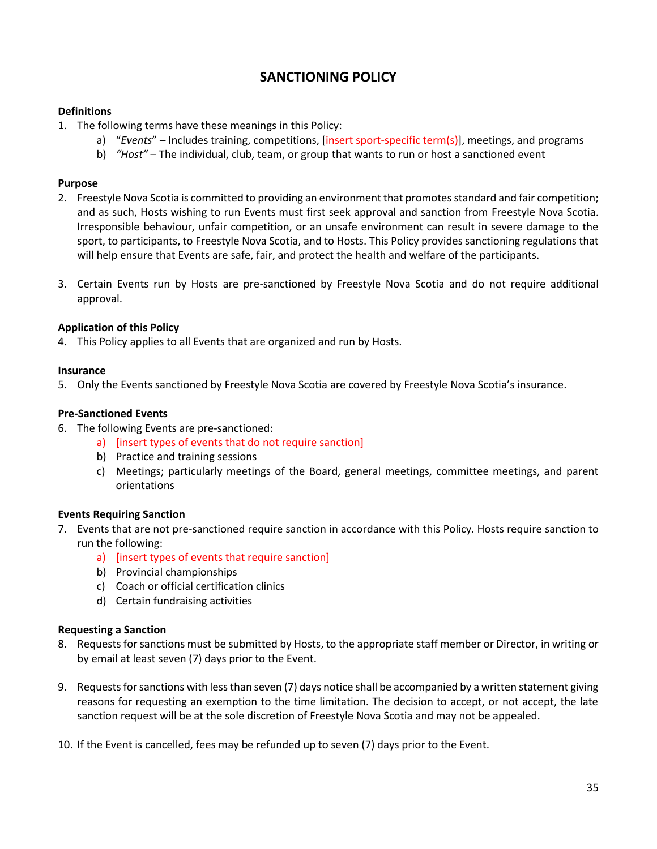# **SANCTIONING POLICY**

## <span id="page-34-0"></span>**Definitions**

- 1. The following terms have these meanings in this Policy:
	- a) "*Events*" Includes training, competitions, [insert sport-specific term(s)], meetings, and programs
	- b) *"Host"* The individual, club, team, or group that wants to run or host a sanctioned event

## **Purpose**

- 2. Freestyle Nova Scotia is committed to providing an environment that promotes standard and fair competition; and as such, Hosts wishing to run Events must first seek approval and sanction from Freestyle Nova Scotia. Irresponsible behaviour, unfair competition, or an unsafe environment can result in severe damage to the sport, to participants, to Freestyle Nova Scotia, and to Hosts. This Policy provides sanctioning regulations that will help ensure that Events are safe, fair, and protect the health and welfare of the participants.
- 3. Certain Events run by Hosts are pre-sanctioned by Freestyle Nova Scotia and do not require additional approval.

## **Application of this Policy**

4. This Policy applies to all Events that are organized and run by Hosts.

## **Insurance**

5. Only the Events sanctioned by Freestyle Nova Scotia are covered by Freestyle Nova Scotia's insurance.

## **Pre-Sanctioned Events**

- 6. The following Events are pre-sanctioned:
	- a) [insert types of events that do not require sanction]
	- b) Practice and training sessions
	- c) Meetings; particularly meetings of the Board, general meetings, committee meetings, and parent orientations

## **Events Requiring Sanction**

- 7. Events that are not pre-sanctioned require sanction in accordance with this Policy. Hosts require sanction to run the following:
	- a) [insert types of events that require sanction]
	- b) Provincial championships
	- c) Coach or official certification clinics
	- d) Certain fundraising activities

## **Requesting a Sanction**

- 8. Requests for sanctions must be submitted by Hosts, to the appropriate staff member or Director, in writing or by email at least seven (7) days prior to the Event.
- 9. Requests for sanctions with less than seven (7) days notice shall be accompanied by a written statement giving reasons for requesting an exemption to the time limitation. The decision to accept, or not accept, the late sanction request will be at the sole discretion of Freestyle Nova Scotia and may not be appealed.
- 10. If the Event is cancelled, fees may be refunded up to seven (7) days prior to the Event.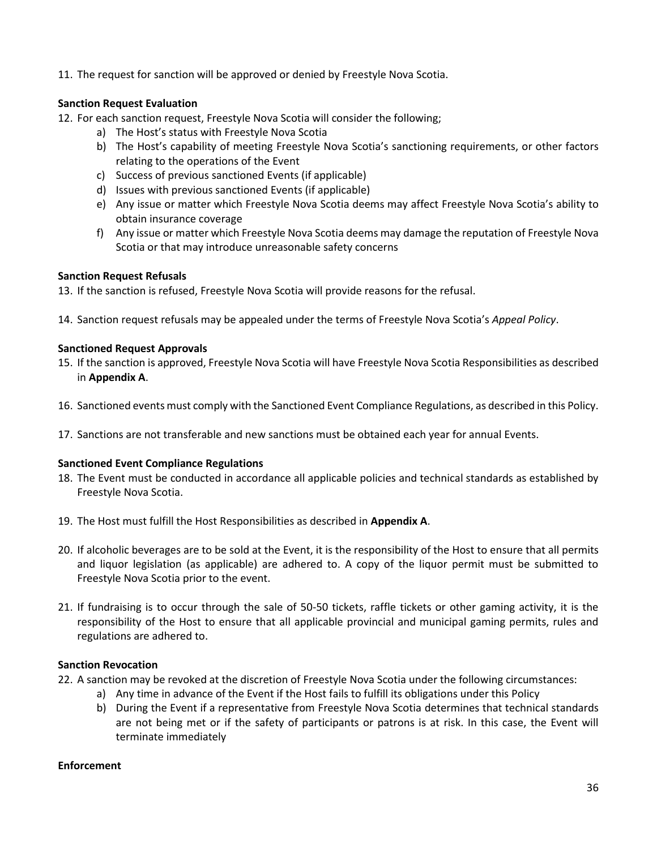11. The request for sanction will be approved or denied by Freestyle Nova Scotia.

# **Sanction Request Evaluation**

- 12. For each sanction request, Freestyle Nova Scotia will consider the following;
	- a) The Host's status with Freestyle Nova Scotia
	- b) The Host's capability of meeting Freestyle Nova Scotia's sanctioning requirements, or other factors relating to the operations of the Event
	- c) Success of previous sanctioned Events (if applicable)
	- d) Issues with previous sanctioned Events (if applicable)
	- e) Any issue or matter which Freestyle Nova Scotia deems may affect Freestyle Nova Scotia's ability to obtain insurance coverage
	- f) Any issue or matter which Freestyle Nova Scotia deems may damage the reputation of Freestyle Nova Scotia or that may introduce unreasonable safety concerns

## **Sanction Request Refusals**

- 13. If the sanction is refused, Freestyle Nova Scotia will provide reasons for the refusal.
- 14. Sanction request refusals may be appealed under the terms of Freestyle Nova Scotia's *Appeal Policy*.

## **Sanctioned Request Approvals**

- 15. If the sanction is approved, Freestyle Nova Scotia will have Freestyle Nova Scotia Responsibilities as described in **Appendix A**.
- 16. Sanctioned events must comply with the Sanctioned Event Compliance Regulations, as described in this Policy.
- 17. Sanctions are not transferable and new sanctions must be obtained each year for annual Events.

## **Sanctioned Event Compliance Regulations**

- 18. The Event must be conducted in accordance all applicable policies and technical standards as established by Freestyle Nova Scotia.
- 19. The Host must fulfill the Host Responsibilities as described in **Appendix A**.
- 20. If alcoholic beverages are to be sold at the Event, it is the responsibility of the Host to ensure that all permits and liquor legislation (as applicable) are adhered to. A copy of the liquor permit must be submitted to Freestyle Nova Scotia prior to the event.
- 21. If fundraising is to occur through the sale of 50-50 tickets, raffle tickets or other gaming activity, it is the responsibility of the Host to ensure that all applicable provincial and municipal gaming permits, rules and regulations are adhered to.

## **Sanction Revocation**

- 22. A sanction may be revoked at the discretion of Freestyle Nova Scotia under the following circumstances:
	- a) Any time in advance of the Event if the Host fails to fulfill its obligations under this Policy
	- b) During the Event if a representative from Freestyle Nova Scotia determines that technical standards are not being met or if the safety of participants or patrons is at risk. In this case, the Event will terminate immediately

## **Enforcement**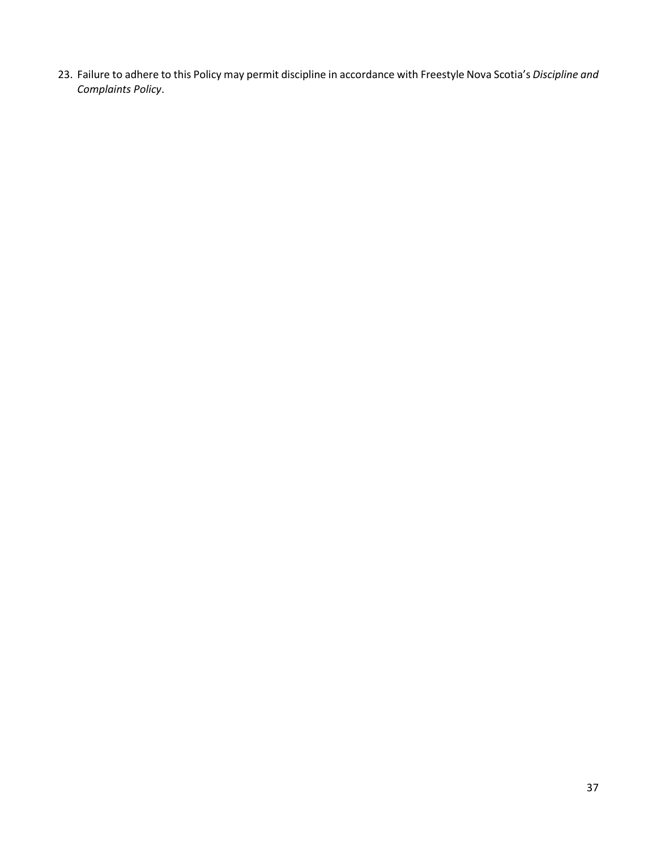23. Failure to adhere to this Policy may permit discipline in accordance with Freestyle Nova Scotia's *Discipline and Complaints Policy*.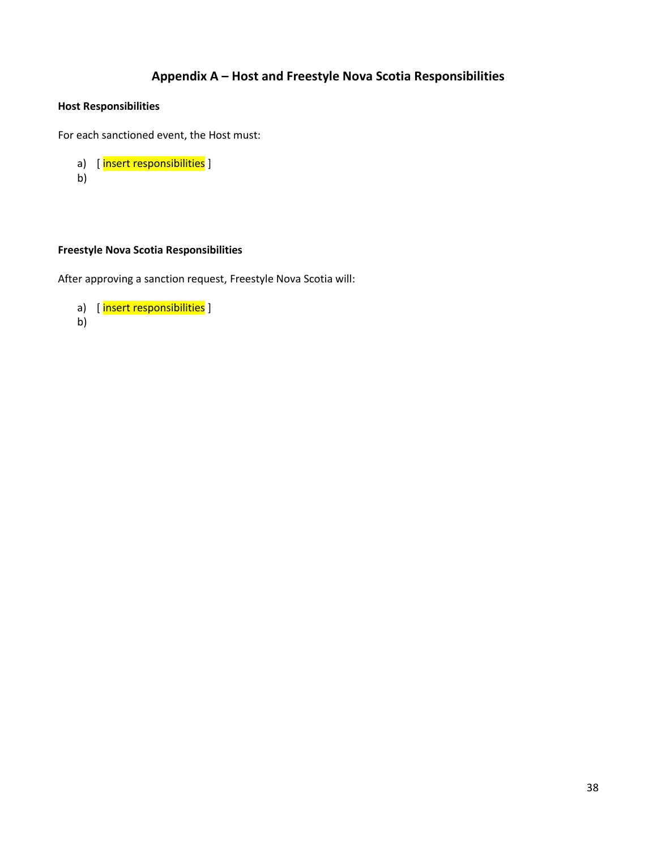# **Appendix A – Host and Freestyle Nova Scotia Responsibilities**

# <span id="page-37-0"></span>**Host Responsibilities**

For each sanctioned event, the Host must:

```
a) [ insert responsibilities ]
b)
```
# **Freestyle Nova Scotia Responsibilities**

After approving a sanction request, Freestyle Nova Scotia will:

```
a) [insert responsibilities]
```
b)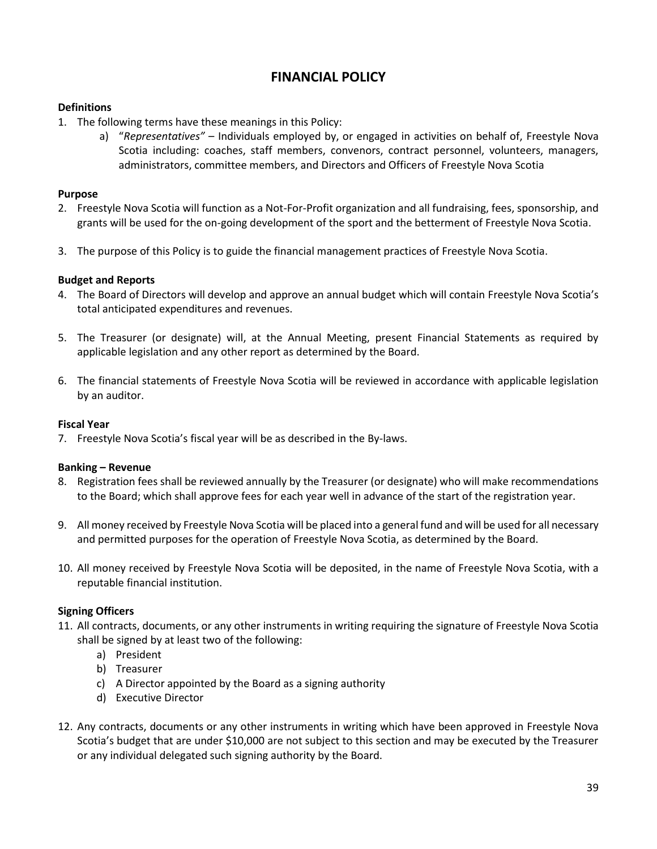# **FINANCIAL POLICY**

## <span id="page-38-0"></span>**Definitions**

- 1. The following terms have these meanings in this Policy:
	- a) "*Representatives"* Individuals employed by, or engaged in activities on behalf of, Freestyle Nova Scotia including: coaches, staff members, convenors, contract personnel, volunteers, managers, administrators, committee members, and Directors and Officers of Freestyle Nova Scotia

## **Purpose**

- 2. Freestyle Nova Scotia will function as a Not-For-Profit organization and all fundraising, fees, sponsorship, and grants will be used for the on-going development of the sport and the betterment of Freestyle Nova Scotia.
- 3. The purpose of this Policy is to guide the financial management practices of Freestyle Nova Scotia.

## **Budget and Reports**

- 4. The Board of Directors will develop and approve an annual budget which will contain Freestyle Nova Scotia's total anticipated expenditures and revenues.
- 5. The Treasurer (or designate) will, at the Annual Meeting, present Financial Statements as required by applicable legislation and any other report as determined by the Board.
- 6. The financial statements of Freestyle Nova Scotia will be reviewed in accordance with applicable legislation by an auditor.

## **Fiscal Year**

7. Freestyle Nova Scotia's fiscal year will be as described in the By-laws.

## **Banking – Revenue**

- 8. Registration fees shall be reviewed annually by the Treasurer (or designate) who will make recommendations to the Board; which shall approve fees for each year well in advance of the start of the registration year.
- 9. All money received by Freestyle Nova Scotia will be placed into a general fund and will be used for all necessary and permitted purposes for the operation of Freestyle Nova Scotia, as determined by the Board.
- 10. All money received by Freestyle Nova Scotia will be deposited, in the name of Freestyle Nova Scotia, with a reputable financial institution.

# **Signing Officers**

- 11. All contracts, documents, or any other instruments in writing requiring the signature of Freestyle Nova Scotia shall be signed by at least two of the following:
	- a) President
	- b) Treasurer
	- c) A Director appointed by the Board as a signing authority
	- d) Executive Director
- 12. Any contracts, documents or any other instruments in writing which have been approved in Freestyle Nova Scotia's budget that are under \$10,000 are not subject to this section and may be executed by the Treasurer or any individual delegated such signing authority by the Board.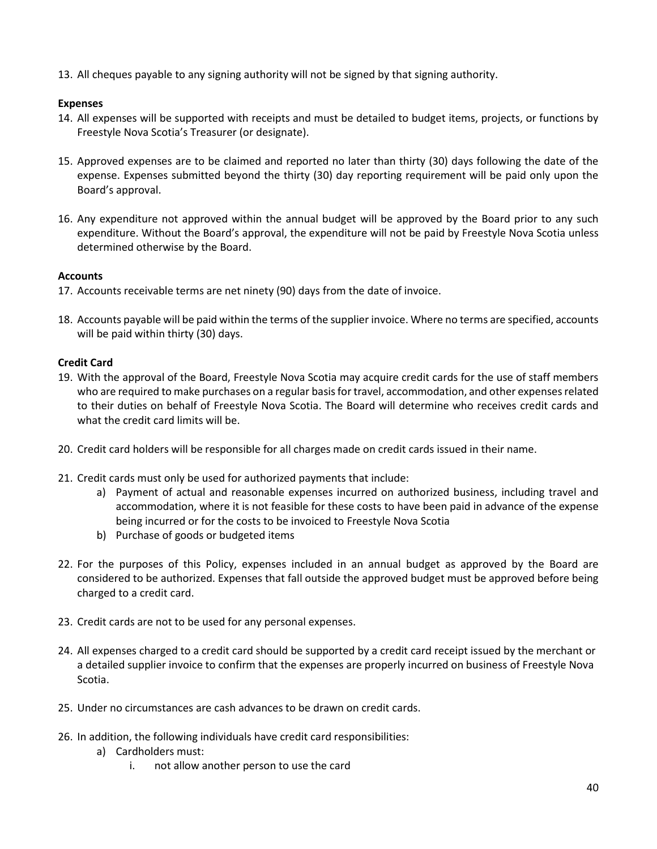13. All cheques payable to any signing authority will not be signed by that signing authority.

## **Expenses**

- 14. All expenses will be supported with receipts and must be detailed to budget items, projects, or functions by Freestyle Nova Scotia's Treasurer (or designate).
- 15. Approved expenses are to be claimed and reported no later than thirty (30) days following the date of the expense. Expenses submitted beyond the thirty (30) day reporting requirement will be paid only upon the Board's approval.
- 16. Any expenditure not approved within the annual budget will be approved by the Board prior to any such expenditure. Without the Board's approval, the expenditure will not be paid by Freestyle Nova Scotia unless determined otherwise by the Board.

## **Accounts**

- 17. Accounts receivable terms are net ninety (90) days from the date of invoice.
- 18. Accounts payable will be paid within the terms of the supplier invoice. Where no terms are specified, accounts will be paid within thirty (30) days.

# **Credit Card**

- 19. With the approval of the Board, Freestyle Nova Scotia may acquire credit cards for the use of staff members who are required to make purchases on a regular basis for travel, accommodation, and other expenses related to their duties on behalf of Freestyle Nova Scotia. The Board will determine who receives credit cards and what the credit card limits will be.
- 20. Credit card holders will be responsible for all charges made on credit cards issued in their name.
- 21. Credit cards must only be used for authorized payments that include:
	- a) Payment of actual and reasonable expenses incurred on authorized business, including travel and accommodation, where it is not feasible for these costs to have been paid in advance of the expense being incurred or for the costs to be invoiced to Freestyle Nova Scotia
	- b) Purchase of goods or budgeted items
- 22. For the purposes of this Policy, expenses included in an annual budget as approved by the Board are considered to be authorized. Expenses that fall outside the approved budget must be approved before being charged to a credit card.
- 23. Credit cards are not to be used for any personal expenses.
- 24. All expenses charged to a credit card should be supported by a credit card receipt issued by the merchant or a detailed supplier invoice to confirm that the expenses are properly incurred on business of Freestyle Nova Scotia.
- 25. Under no circumstances are cash advances to be drawn on credit cards.
- 26. In addition, the following individuals have credit card responsibilities:
	- a) Cardholders must:
		- i. not allow another person to use the card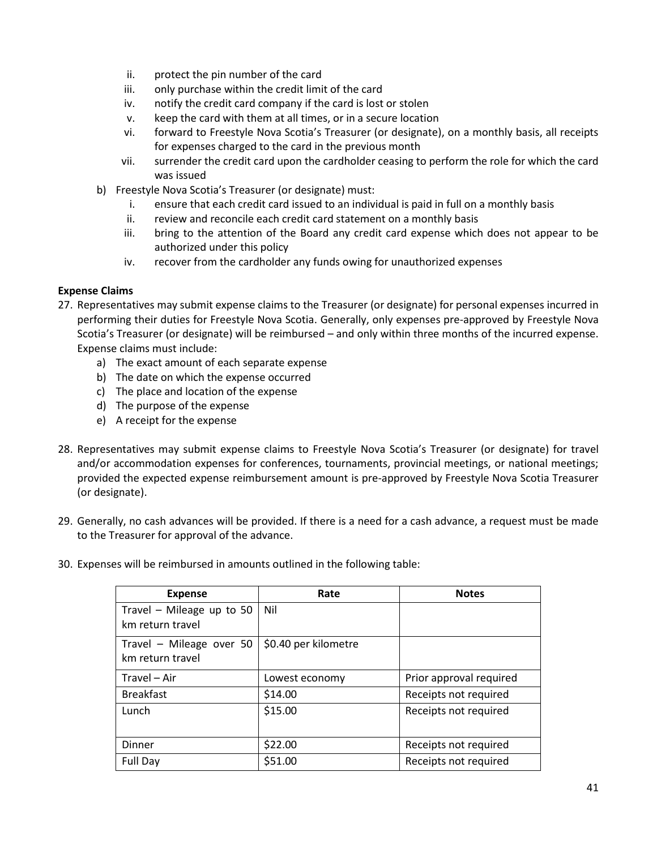- ii. protect the pin number of the card
- iii. only purchase within the credit limit of the card
- iv. notify the credit card company if the card is lost or stolen
- v. keep the card with them at all times, or in a secure location
- vi. forward to Freestyle Nova Scotia's Treasurer (or designate), on a monthly basis, all receipts for expenses charged to the card in the previous month
- vii. surrender the credit card upon the cardholder ceasing to perform the role for which the card was issued
- b) Freestyle Nova Scotia's Treasurer (or designate) must:
	- i. ensure that each credit card issued to an individual is paid in full on a monthly basis
	- ii. review and reconcile each credit card statement on a monthly basis
	- iii. bring to the attention of the Board any credit card expense which does not appear to be authorized under this policy
	- iv. recover from the cardholder any funds owing for unauthorized expenses

## **Expense Claims**

- 27. Representatives may submit expense claims to the Treasurer (or designate) for personal expenses incurred in performing their duties for Freestyle Nova Scotia. Generally, only expenses pre-approved by Freestyle Nova Scotia's Treasurer (or designate) will be reimbursed – and only within three months of the incurred expense. Expense claims must include:
	- a) The exact amount of each separate expense
	- b) The date on which the expense occurred
	- c) The place and location of the expense
	- d) The purpose of the expense
	- e) A receipt for the expense
- 28. Representatives may submit expense claims to Freestyle Nova Scotia's Treasurer (or designate) for travel and/or accommodation expenses for conferences, tournaments, provincial meetings, or national meetings; provided the expected expense reimbursement amount is pre-approved by Freestyle Nova Scotia Treasurer (or designate).
- 29. Generally, no cash advances will be provided. If there is a need for a cash advance, a request must be made to the Treasurer for approval of the advance.
- 30. Expenses will be reimbursed in amounts outlined in the following table:

| <b>Expense</b>                                | Rate                 | <b>Notes</b>            |
|-----------------------------------------------|----------------------|-------------------------|
| Travel – Mileage up to 50<br>km return travel | Nil                  |                         |
| Travel - Mileage over 50<br>km return travel  | \$0.40 per kilometre |                         |
| Travel - Air                                  | Lowest economy       | Prior approval required |
| <b>Breakfast</b>                              | \$14.00              | Receipts not required   |
| Lunch                                         | \$15.00              | Receipts not required   |
| Dinner                                        | \$22.00              | Receipts not required   |
| Full Day                                      | \$51.00              | Receipts not required   |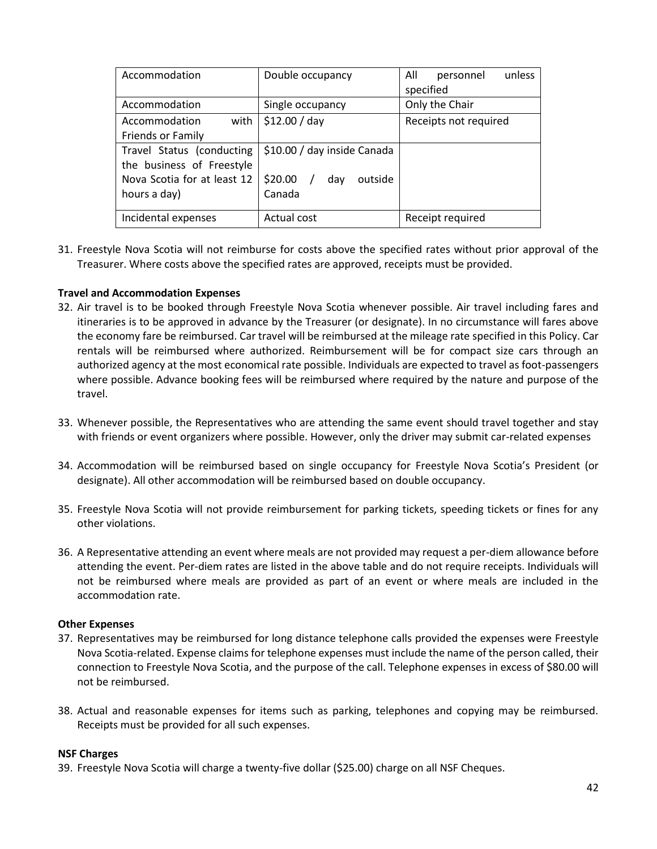| Accommodation               | Double occupancy            | All<br>unless<br>personnel |
|-----------------------------|-----------------------------|----------------------------|
|                             |                             | specified                  |
| Accommodation               | Single occupancy            | Only the Chair             |
| Accommodation<br>with       | \$12.00 / day               | Receipts not required      |
| Friends or Family           |                             |                            |
| Travel Status (conducting   | \$10.00 / day inside Canada |                            |
| the business of Freestyle   |                             |                            |
| Nova Scotia for at least 12 | \$20.00 /<br>outside<br>day |                            |
| hours a day)                | Canada                      |                            |
|                             |                             |                            |
| Incidental expenses         | Actual cost                 | Receipt required           |

31. Freestyle Nova Scotia will not reimburse for costs above the specified rates without prior approval of the Treasurer. Where costs above the specified rates are approved, receipts must be provided.

## **Travel and Accommodation Expenses**

- 32. Air travel is to be booked through Freestyle Nova Scotia whenever possible. Air travel including fares and itineraries is to be approved in advance by the Treasurer (or designate). In no circumstance will fares above the economy fare be reimbursed. Car travel will be reimbursed at the mileage rate specified in this Policy. Car rentals will be reimbursed where authorized. Reimbursement will be for compact size cars through an authorized agency at the most economical rate possible. Individuals are expected to travel as foot-passengers where possible. Advance booking fees will be reimbursed where required by the nature and purpose of the travel.
- 33. Whenever possible, the Representatives who are attending the same event should travel together and stay with friends or event organizers where possible. However, only the driver may submit car-related expenses
- 34. Accommodation will be reimbursed based on single occupancy for Freestyle Nova Scotia's President (or designate). All other accommodation will be reimbursed based on double occupancy.
- 35. Freestyle Nova Scotia will not provide reimbursement for parking tickets, speeding tickets or fines for any other violations.
- 36. A Representative attending an event where meals are not provided may request a per-diem allowance before attending the event. Per-diem rates are listed in the above table and do not require receipts. Individuals will not be reimbursed where meals are provided as part of an event or where meals are included in the accommodation rate.

## **Other Expenses**

- 37. Representatives may be reimbursed for long distance telephone calls provided the expenses were Freestyle Nova Scotia-related. Expense claims for telephone expenses must include the name of the person called, their connection to Freestyle Nova Scotia, and the purpose of the call. Telephone expenses in excess of \$80.00 will not be reimbursed.
- 38. Actual and reasonable expenses for items such as parking, telephones and copying may be reimbursed. Receipts must be provided for all such expenses.

#### **NSF Charges**

39. Freestyle Nova Scotia will charge a twenty-five dollar (\$25.00) charge on all NSF Cheques.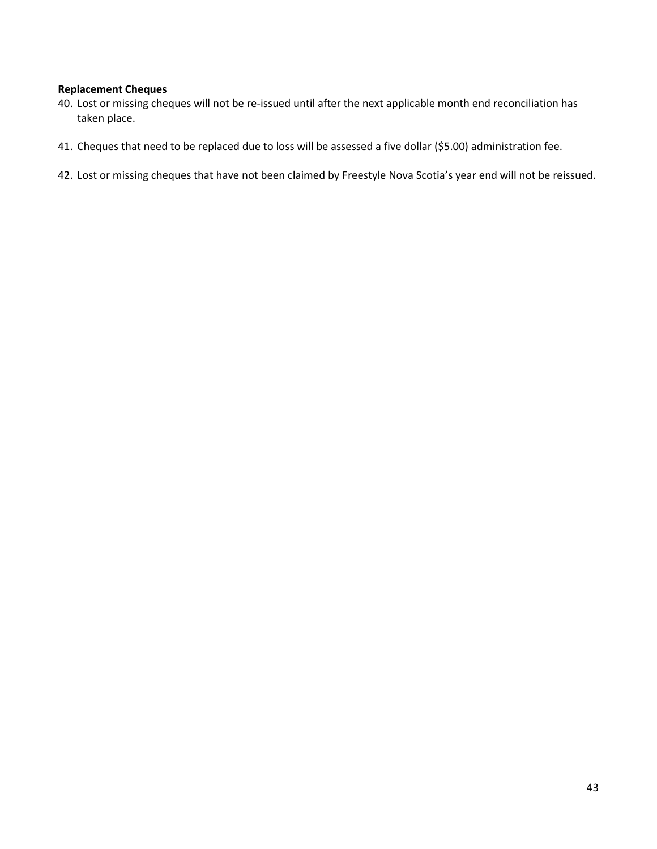#### **Replacement Cheques**

- 40. Lost or missing cheques will not be re-issued until after the next applicable month end reconciliation has taken place.
- 41. Cheques that need to be replaced due to loss will be assessed a five dollar (\$5.00) administration fee.
- 42. Lost or missing cheques that have not been claimed by Freestyle Nova Scotia's year end will not be reissued.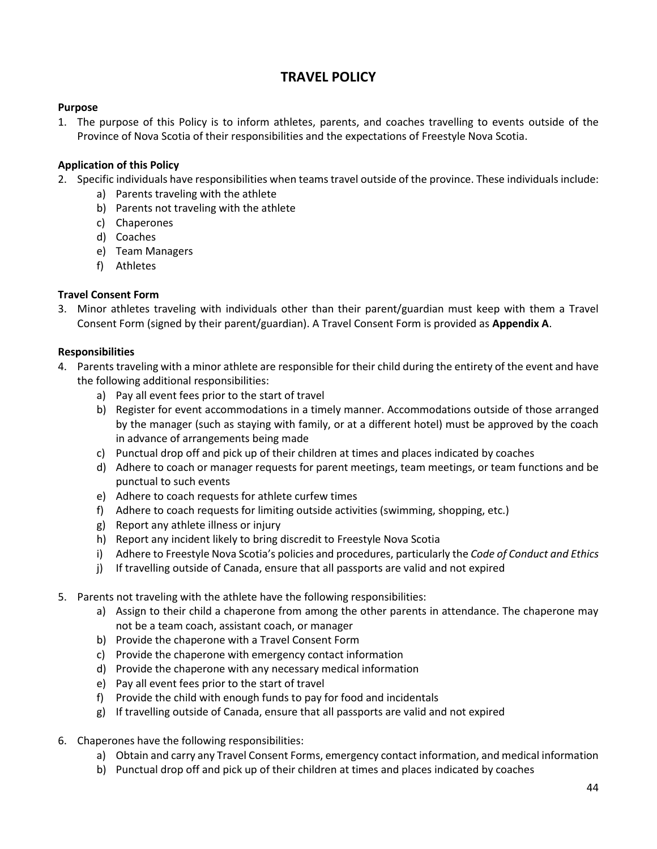# **TRAVEL POLICY**

## <span id="page-43-0"></span>**Purpose**

1. The purpose of this Policy is to inform athletes, parents, and coaches travelling to events outside of the Province of Nova Scotia of their responsibilities and the expectations of Freestyle Nova Scotia.

# **Application of this Policy**

- 2. Specific individuals have responsibilities when teams travel outside of the province. These individuals include:
	- a) Parents traveling with the athlete
	- b) Parents not traveling with the athlete
	- c) Chaperones
	- d) Coaches
	- e) Team Managers
	- f) Athletes

## **Travel Consent Form**

3. Minor athletes traveling with individuals other than their parent/guardian must keep with them a Travel Consent Form (signed by their parent/guardian). A Travel Consent Form is provided as **Appendix A**.

## **Responsibilities**

- 4. Parents traveling with a minor athlete are responsible for their child during the entirety of the event and have the following additional responsibilities:
	- a) Pay all event fees prior to the start of travel
	- b) Register for event accommodations in a timely manner. Accommodations outside of those arranged by the manager (such as staying with family, or at a different hotel) must be approved by the coach in advance of arrangements being made
	- c) Punctual drop off and pick up of their children at times and places indicated by coaches
	- d) Adhere to coach or manager requests for parent meetings, team meetings, or team functions and be punctual to such events
	- e) Adhere to coach requests for athlete curfew times
	- f) Adhere to coach requests for limiting outside activities (swimming, shopping, etc.)
	- g) Report any athlete illness or injury
	- h) Report any incident likely to bring discredit to Freestyle Nova Scotia
	- i) Adhere to Freestyle Nova Scotia's policies and procedures, particularly the *Code of Conduct and Ethics*
	- j) If travelling outside of Canada, ensure that all passports are valid and not expired
- 5. Parents not traveling with the athlete have the following responsibilities:
	- a) Assign to their child a chaperone from among the other parents in attendance. The chaperone may not be a team coach, assistant coach, or manager
	- b) Provide the chaperone with a Travel Consent Form
	- c) Provide the chaperone with emergency contact information
	- d) Provide the chaperone with any necessary medical information
	- e) Pay all event fees prior to the start of travel
	- f) Provide the child with enough funds to pay for food and incidentals
	- g) If travelling outside of Canada, ensure that all passports are valid and not expired
- 6. Chaperones have the following responsibilities:
	- a) Obtain and carry any Travel Consent Forms, emergency contact information, and medical information
	- b) Punctual drop off and pick up of their children at times and places indicated by coaches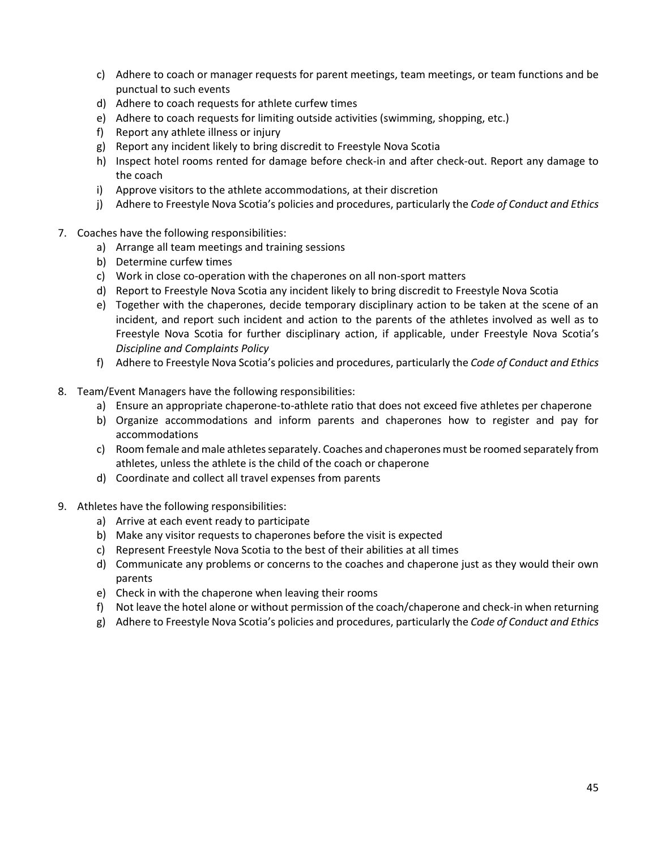- c) Adhere to coach or manager requests for parent meetings, team meetings, or team functions and be punctual to such events
- d) Adhere to coach requests for athlete curfew times
- e) Adhere to coach requests for limiting outside activities (swimming, shopping, etc.)
- f) Report any athlete illness or injury
- g) Report any incident likely to bring discredit to Freestyle Nova Scotia
- h) Inspect hotel rooms rented for damage before check-in and after check-out. Report any damage to the coach
- i) Approve visitors to the athlete accommodations, at their discretion
- j) Adhere to Freestyle Nova Scotia's policies and procedures, particularly the *Code of Conduct and Ethics*
- 7. Coaches have the following responsibilities:
	- a) Arrange all team meetings and training sessions
	- b) Determine curfew times
	- c) Work in close co-operation with the chaperones on all non-sport matters
	- d) Report to Freestyle Nova Scotia any incident likely to bring discredit to Freestyle Nova Scotia
	- e) Together with the chaperones, decide temporary disciplinary action to be taken at the scene of an incident, and report such incident and action to the parents of the athletes involved as well as to Freestyle Nova Scotia for further disciplinary action, if applicable, under Freestyle Nova Scotia's *Discipline and Complaints Policy*
	- f) Adhere to Freestyle Nova Scotia's policies and procedures, particularly the *Code of Conduct and Ethics*
- 8. Team/Event Managers have the following responsibilities:
	- a) Ensure an appropriate chaperone-to-athlete ratio that does not exceed five athletes per chaperone
	- b) Organize accommodations and inform parents and chaperones how to register and pay for accommodations
	- c) Room female and male athletes separately. Coaches and chaperones must be roomed separately from athletes, unless the athlete is the child of the coach or chaperone
	- d) Coordinate and collect all travel expenses from parents
- 9. Athletes have the following responsibilities:
	- a) Arrive at each event ready to participate
	- b) Make any visitor requests to chaperones before the visit is expected
	- c) Represent Freestyle Nova Scotia to the best of their abilities at all times
	- d) Communicate any problems or concerns to the coaches and chaperone just as they would their own parents
	- e) Check in with the chaperone when leaving their rooms
	- f) Not leave the hotel alone or without permission of the coach/chaperone and check-in when returning
	- g) Adhere to Freestyle Nova Scotia's policies and procedures, particularly the *Code of Conduct and Ethics*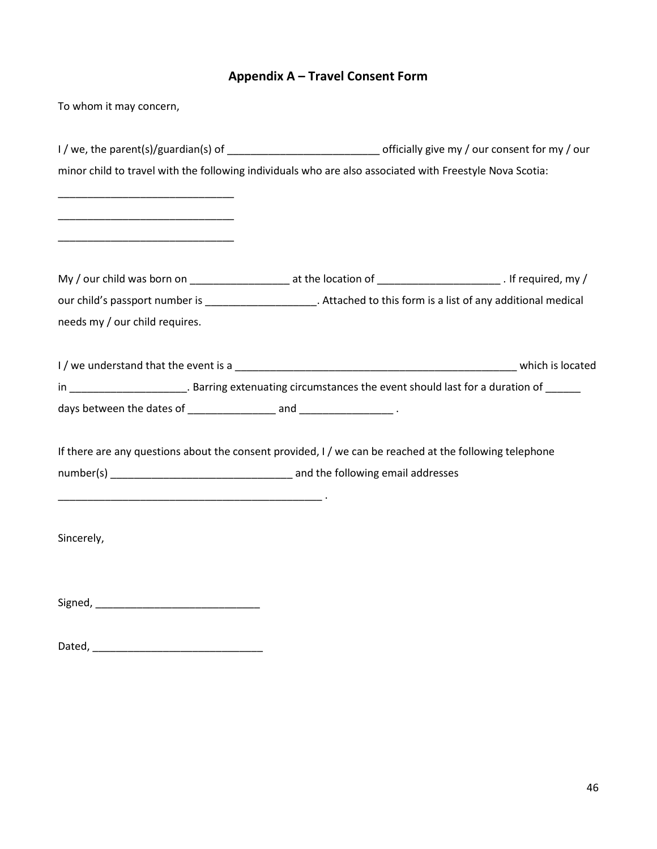# **Appendix A – Travel Consent Form**

<span id="page-45-0"></span>To whom it may concern,

|                                | I / we, the parent(s)/guardian(s) of _________________________________officially give my / our consent for my / our    |  |
|--------------------------------|------------------------------------------------------------------------------------------------------------------------|--|
|                                | minor child to travel with the following individuals who are also associated with Freestyle Nova Scotia:               |  |
|                                |                                                                                                                        |  |
|                                |                                                                                                                        |  |
|                                |                                                                                                                        |  |
|                                | My / our child was born on ________________________ at the location of ____________________________. If required, my / |  |
|                                | our child's passport number is _______________________. Attached to this form is a list of any additional medical      |  |
| needs my / our child requires. |                                                                                                                        |  |
|                                |                                                                                                                        |  |
|                                | in ________________________. Barring extenuating circumstances the event should last for a duration of ______          |  |
|                                |                                                                                                                        |  |
|                                | If there are any questions about the consent provided, I / we can be reached at the following telephone                |  |
|                                |                                                                                                                        |  |
|                                |                                                                                                                        |  |
| Sincerely,                     |                                                                                                                        |  |
|                                |                                                                                                                        |  |
|                                |                                                                                                                        |  |
|                                |                                                                                                                        |  |

| Dated<br>----- |  |
|----------------|--|
|                |  |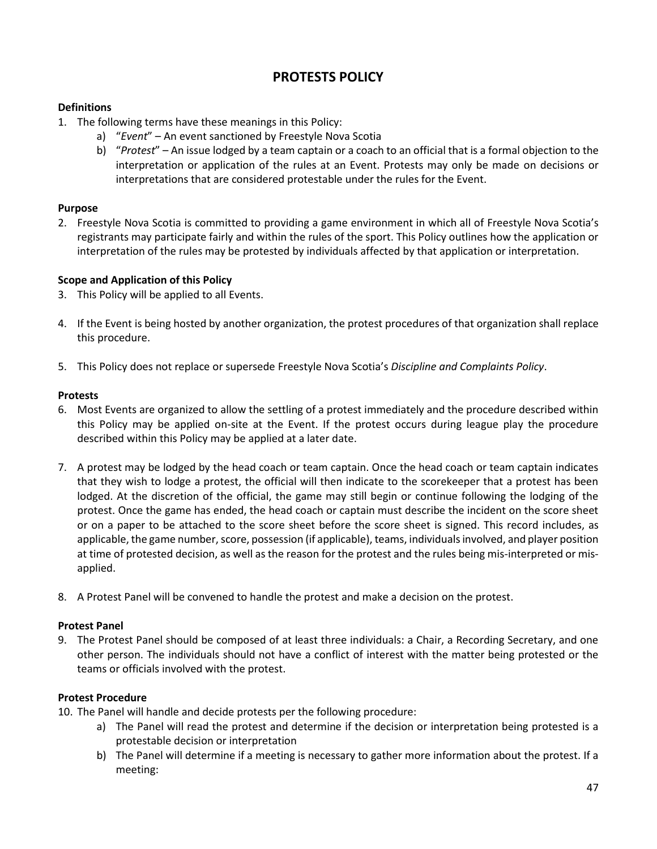# **PROTESTS POLICY**

# <span id="page-46-0"></span>**Definitions**

- 1. The following terms have these meanings in this Policy:
	- a) "*Event*" An event sanctioned by Freestyle Nova Scotia
	- b) "*Protest*" An issue lodged by a team captain or a coach to an official that is a formal objection to the interpretation or application of the rules at an Event. Protests may only be made on decisions or interpretations that are considered protestable under the rules for the Event.

## **Purpose**

2. Freestyle Nova Scotia is committed to providing a game environment in which all of Freestyle Nova Scotia's registrants may participate fairly and within the rules of the sport. This Policy outlines how the application or interpretation of the rules may be protested by individuals affected by that application or interpretation.

## **Scope and Application of this Policy**

- 3. This Policy will be applied to all Events.
- 4. If the Event is being hosted by another organization, the protest procedures of that organization shall replace this procedure.
- 5. This Policy does not replace or supersede Freestyle Nova Scotia's *Discipline and Complaints Policy*.

## **Protests**

- 6. Most Events are organized to allow the settling of a protest immediately and the procedure described within this Policy may be applied on-site at the Event. If the protest occurs during league play the procedure described within this Policy may be applied at a later date.
- 7. A protest may be lodged by the head coach or team captain. Once the head coach or team captain indicates that they wish to lodge a protest, the official will then indicate to the scorekeeper that a protest has been lodged. At the discretion of the official, the game may still begin or continue following the lodging of the protest. Once the game has ended, the head coach or captain must describe the incident on the score sheet or on a paper to be attached to the score sheet before the score sheet is signed. This record includes, as applicable, the game number, score, possession (if applicable), teams, individuals involved, and player position at time of protested decision, as well as the reason for the protest and the rules being mis-interpreted or misapplied.
- 8. A Protest Panel will be convened to handle the protest and make a decision on the protest.

## **Protest Panel**

9. The Protest Panel should be composed of at least three individuals: a Chair, a Recording Secretary, and one other person. The individuals should not have a conflict of interest with the matter being protested or the teams or officials involved with the protest.

## **Protest Procedure**

- 10. The Panel will handle and decide protests per the following procedure:
	- a) The Panel will read the protest and determine if the decision or interpretation being protested is a protestable decision or interpretation
	- b) The Panel will determine if a meeting is necessary to gather more information about the protest. If a meeting: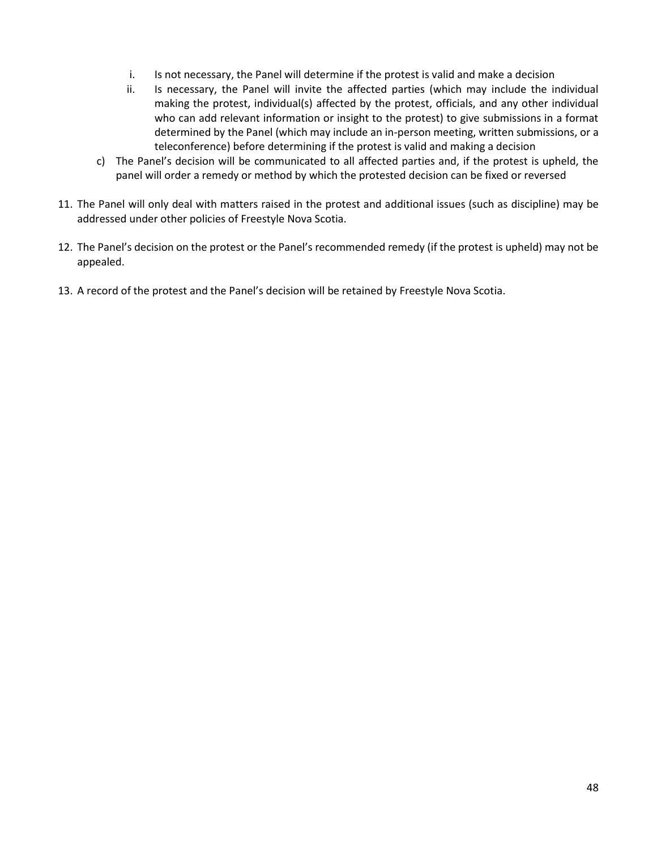- i. Is not necessary, the Panel will determine if the protest is valid and make a decision
- ii. Is necessary, the Panel will invite the affected parties (which may include the individual making the protest, individual(s) affected by the protest, officials, and any other individual who can add relevant information or insight to the protest) to give submissions in a format determined by the Panel (which may include an in-person meeting, written submissions, or a teleconference) before determining if the protest is valid and making a decision
- c) The Panel's decision will be communicated to all affected parties and, if the protest is upheld, the panel will order a remedy or method by which the protested decision can be fixed or reversed
- 11. The Panel will only deal with matters raised in the protest and additional issues (such as discipline) may be addressed under other policies of Freestyle Nova Scotia.
- 12. The Panel's decision on the protest or the Panel's recommended remedy (if the protest is upheld) may not be appealed.
- 13. A record of the protest and the Panel's decision will be retained by Freestyle Nova Scotia.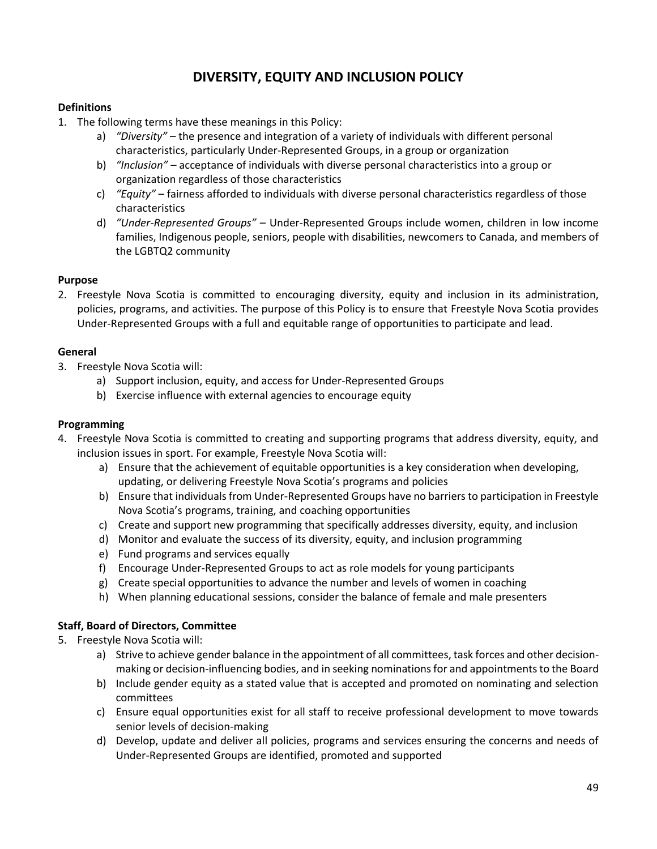# **DIVERSITY, EQUITY AND INCLUSION POLICY**

## <span id="page-48-0"></span>**Definitions**

- 1. The following terms have these meanings in this Policy:
	- a) *"Diversity"* the presence and integration of a variety of individuals with different personal characteristics, particularly Under-Represented Groups, in a group or organization
	- b) *"Inclusion"*  acceptance of individuals with diverse personal characteristics into a group or organization regardless of those characteristics
	- c) *"Equity"*  fairness afforded to individuals with diverse personal characteristics regardless of those characteristics
	- d) *"Under-Represented Groups"* Under-Represented Groups include women, children in low income families, Indigenous people, seniors, people with disabilities, newcomers to Canada, and members of the LGBTQ2 community

## **Purpose**

2. Freestyle Nova Scotia is committed to encouraging diversity, equity and inclusion in its administration, policies, programs, and activities. The purpose of this Policy is to ensure that Freestyle Nova Scotia provides Under-Represented Groups with a full and equitable range of opportunities to participate and lead.

## **General**

- 3. Freestyle Nova Scotia will:
	- a) Support inclusion, equity, and access for Under-Represented Groups
	- b) Exercise influence with external agencies to encourage equity

## **Programming**

- 4. Freestyle Nova Scotia is committed to creating and supporting programs that address diversity, equity, and inclusion issues in sport. For example, Freestyle Nova Scotia will:
	- a) Ensure that the achievement of equitable opportunities is a key consideration when developing, updating, or delivering Freestyle Nova Scotia's programs and policies
	- b) Ensure that individuals from Under-Represented Groups have no barriers to participation in Freestyle Nova Scotia's programs, training, and coaching opportunities
	- c) Create and support new programming that specifically addresses diversity, equity, and inclusion
	- d) Monitor and evaluate the success of its diversity, equity, and inclusion programming
	- e) Fund programs and services equally
	- f) Encourage Under-Represented Groups to act as role models for young participants
	- g) Create special opportunities to advance the number and levels of women in coaching
	- h) When planning educational sessions, consider the balance of female and male presenters

# **Staff, Board of Directors, Committee**

- 5. Freestyle Nova Scotia will:
	- a) Strive to achieve gender balance in the appointment of all committees, task forces and other decisionmaking or decision-influencing bodies, and in seeking nominations for and appointments to the Board
	- b) Include gender equity as a stated value that is accepted and promoted on nominating and selection committees
	- c) Ensure equal opportunities exist for all staff to receive professional development to move towards senior levels of decision-making
	- d) Develop, update and deliver all policies, programs and services ensuring the concerns and needs of Under-Represented Groups are identified, promoted and supported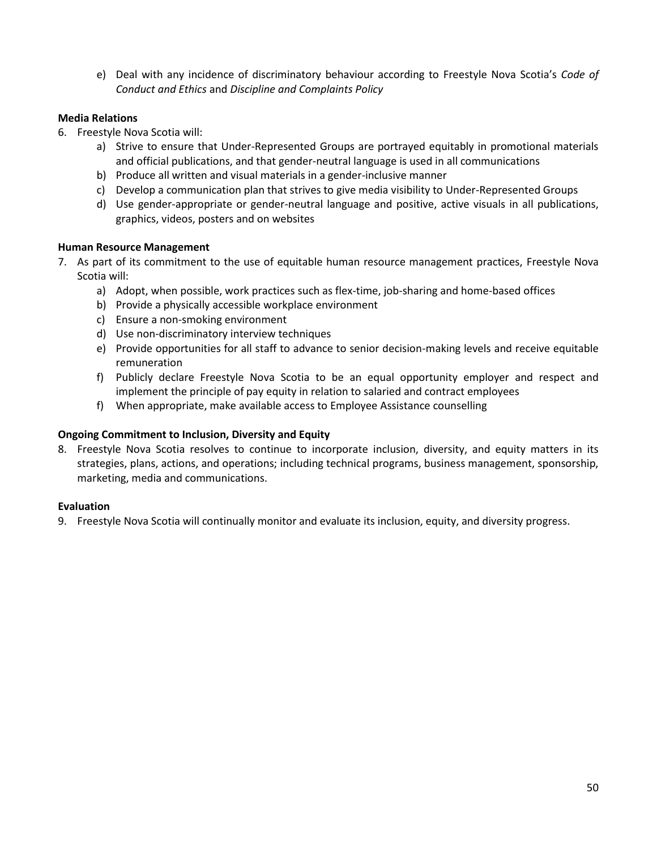e) Deal with any incidence of discriminatory behaviour according to Freestyle Nova Scotia's *Code of Conduct and Ethics* and *Discipline and Complaints Policy*

# **Media Relations**

- 6. Freestyle Nova Scotia will:
	- a) Strive to ensure that Under-Represented Groups are portrayed equitably in promotional materials and official publications, and that gender-neutral language is used in all communications
	- b) Produce all written and visual materials in a gender-inclusive manner
	- c) Develop a communication plan that strives to give media visibility to Under-Represented Groups
	- d) Use gender-appropriate or gender-neutral language and positive, active visuals in all publications, graphics, videos, posters and on websites

## **Human Resource Management**

- 7. As part of its commitment to the use of equitable human resource management practices, Freestyle Nova Scotia will:
	- a) Adopt, when possible, work practices such as flex-time, job-sharing and home-based offices
	- b) Provide a physically accessible workplace environment
	- c) Ensure a non-smoking environment
	- d) Use non-discriminatory interview techniques
	- e) Provide opportunities for all staff to advance to senior decision-making levels and receive equitable remuneration
	- f) Publicly declare Freestyle Nova Scotia to be an equal opportunity employer and respect and implement the principle of pay equity in relation to salaried and contract employees
	- f) When appropriate, make available access to Employee Assistance counselling

## **Ongoing Commitment to Inclusion, Diversity and Equity**

8. Freestyle Nova Scotia resolves to continue to incorporate inclusion, diversity, and equity matters in its strategies, plans, actions, and operations; including technical programs, business management, sponsorship, marketing, media and communications.

## **Evaluation**

9. Freestyle Nova Scotia will continually monitor and evaluate its inclusion, equity, and diversity progress.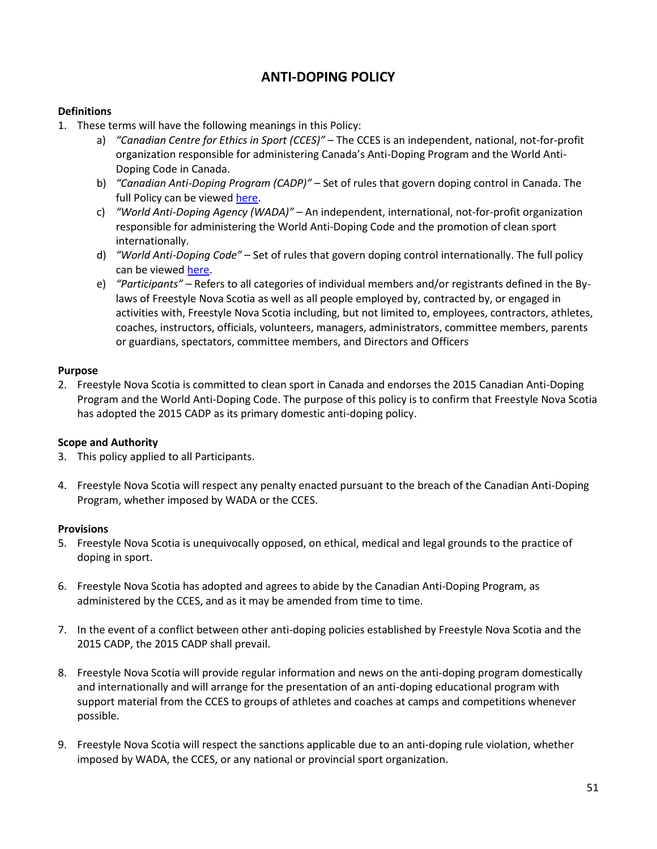# **ANTI-DOPING POLICY**

## <span id="page-50-0"></span>**Definitions**

- 1. These terms will have the following meanings in this Policy:
	- a) *"Canadian Centre for Ethics in Sport (CCES)"* The CCES is an independent, national, not-for-profit organization responsible for administering Canada's Anti-Doping Program and the World Anti-Doping Code in Canada.
	- b) *"Canadian Anti-Doping Program (CADP)"* Set of rules that govern doping control in Canada. The full Policy can be viewed [here.](http://cces.ca/canadian-anti-doping-program)
	- c) *"World Anti-Doping Agency (WADA)"* An independent, international, not-for-profit organization responsible for administering the World Anti-Doping Code and the promotion of clean sport internationally.
	- d) *"World Anti-Doping Code"* Set of rules that govern doping control internationally. The full policy can be viewe[d here.](https://www.wada-ama.org/en/what-we-do/the-code)
	- e) *"Participants" –* Refers to all categories of individual members and/or registrants defined in the Bylaws of Freestyle Nova Scotia as well as all people employed by, contracted by, or engaged in activities with, Freestyle Nova Scotia including, but not limited to, employees, contractors, athletes, coaches, instructors, officials, volunteers, managers, administrators, committee members, parents or guardians, spectators, committee members, and Directors and Officers

## **Purpose**

2. Freestyle Nova Scotia is committed to clean sport in Canada and endorses the 2015 Canadian Anti-Doping Program and the World Anti-Doping Code. The purpose of this policy is to confirm that Freestyle Nova Scotia has adopted the 2015 CADP as its primary domestic anti-doping policy.

# **Scope and Authority**

- 3. This policy applied to all Participants.
- 4. Freestyle Nova Scotia will respect any penalty enacted pursuant to the breach of the Canadian Anti-Doping Program, whether imposed by WADA or the CCES.

## **Provisions**

- 5. Freestyle Nova Scotia is unequivocally opposed, on ethical, medical and legal grounds to the practice of doping in sport.
- 6. Freestyle Nova Scotia has adopted and agrees to abide by the Canadian Anti-Doping Program, as administered by the CCES, and as it may be amended from time to time.
- 7. In the event of a conflict between other anti-doping policies established by Freestyle Nova Scotia and the 2015 CADP, the 2015 CADP shall prevail.
- 8. Freestyle Nova Scotia will provide regular information and news on the anti-doping program domestically and internationally and will arrange for the presentation of an anti-doping educational program with support material from the CCES to groups of athletes and coaches at camps and competitions whenever possible.
- 9. Freestyle Nova Scotia will respect the sanctions applicable due to an anti-doping rule violation, whether imposed by WADA, the CCES, or any national or provincial sport organization.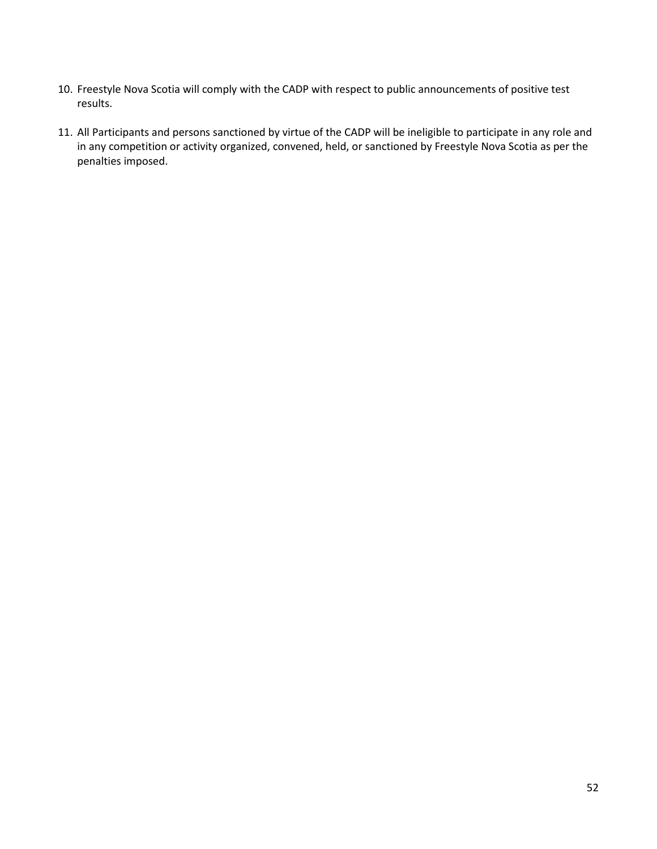- 10. Freestyle Nova Scotia will comply with the CADP with respect to public announcements of positive test results.
- 11. All Participants and persons sanctioned by virtue of the CADP will be ineligible to participate in any role and in any competition or activity organized, convened, held, or sanctioned by Freestyle Nova Scotia as per the penalties imposed.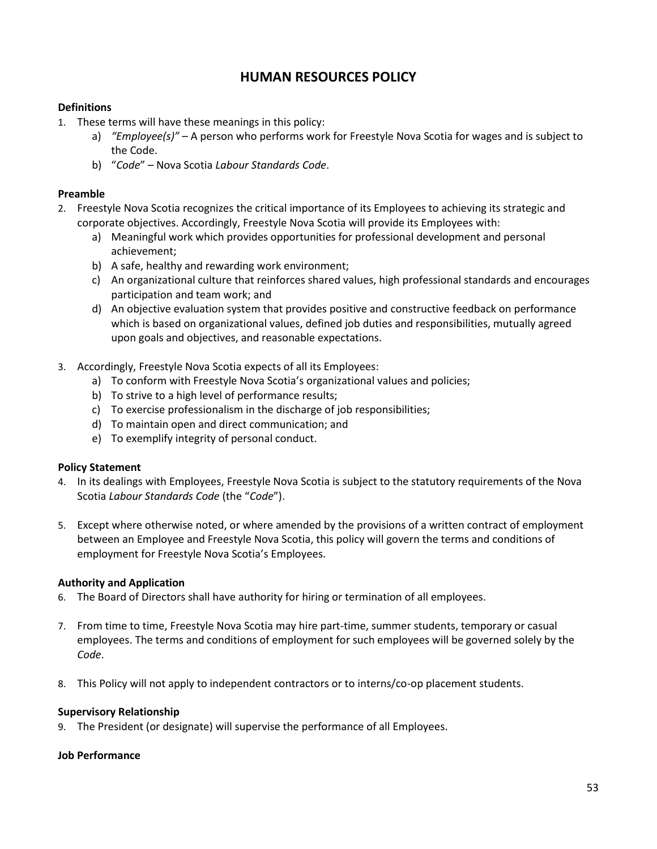# **HUMAN RESOURCES POLICY**

# <span id="page-52-0"></span>**Definitions**

- 1. These terms will have these meanings in this policy:
	- a) *"Employee(s)" –* A person who performs work for Freestyle Nova Scotia for wages and is subject to the Code.
	- b) "*Code*" *–* Nova Scotia *Labour Standards Code*.

## **Preamble**

- 2. Freestyle Nova Scotia recognizes the critical importance of its Employees to achieving its strategic and corporate objectives. Accordingly, Freestyle Nova Scotia will provide its Employees with:
	- a) Meaningful work which provides opportunities for professional development and personal achievement;
	- b) A safe, healthy and rewarding work environment;
	- c) An organizational culture that reinforces shared values, high professional standards and encourages participation and team work; and
	- d) An objective evaluation system that provides positive and constructive feedback on performance which is based on organizational values, defined job duties and responsibilities, mutually agreed upon goals and objectives, and reasonable expectations.
- 3. Accordingly, Freestyle Nova Scotia expects of all its Employees:
	- a) To conform with Freestyle Nova Scotia's organizational values and policies;
	- b) To strive to a high level of performance results;
	- c) To exercise professionalism in the discharge of job responsibilities;
	- d) To maintain open and direct communication; and
	- e) To exemplify integrity of personal conduct.

## **Policy Statement**

- 4. In its dealings with Employees, Freestyle Nova Scotia is subject to the statutory requirements of the Nova Scotia *Labour Standards Code* (the "*Code*").
- 5. Except where otherwise noted, or where amended by the provisions of a written contract of employment between an Employee and Freestyle Nova Scotia, this policy will govern the terms and conditions of employment for Freestyle Nova Scotia's Employees.

## **Authority and Application**

- 6. The Board of Directors shall have authority for hiring or termination of all employees.
- 7. From time to time, Freestyle Nova Scotia may hire part-time, summer students, temporary or casual employees. The terms and conditions of employment for such employees will be governed solely by the *Code*.
- 8. This Policy will not apply to independent contractors or to interns/co-op placement students.

## **Supervisory Relationship**

9. The President (or designate) will supervise the performance of all Employees.

## **Job Performance**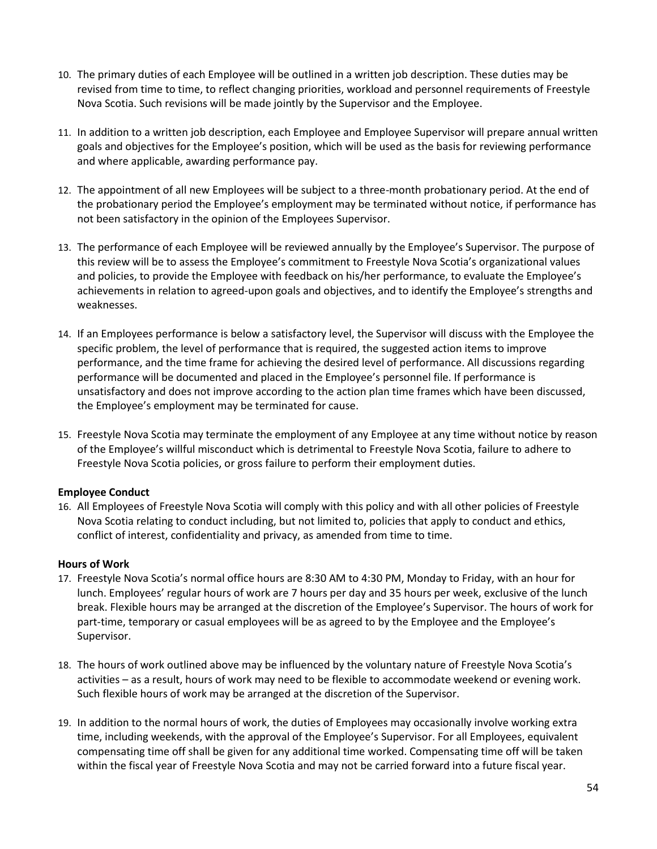- 10. The primary duties of each Employee will be outlined in a written job description. These duties may be revised from time to time, to reflect changing priorities, workload and personnel requirements of Freestyle Nova Scotia. Such revisions will be made jointly by the Supervisor and the Employee.
- 11. In addition to a written job description, each Employee and Employee Supervisor will prepare annual written goals and objectives for the Employee's position, which will be used as the basis for reviewing performance and where applicable, awarding performance pay.
- 12. The appointment of all new Employees will be subject to a three-month probationary period. At the end of the probationary period the Employee's employment may be terminated without notice, if performance has not been satisfactory in the opinion of the Employees Supervisor.
- 13. The performance of each Employee will be reviewed annually by the Employee's Supervisor. The purpose of this review will be to assess the Employee's commitment to Freestyle Nova Scotia's organizational values and policies, to provide the Employee with feedback on his/her performance, to evaluate the Employee's achievements in relation to agreed-upon goals and objectives, and to identify the Employee's strengths and weaknesses.
- 14. If an Employees performance is below a satisfactory level, the Supervisor will discuss with the Employee the specific problem, the level of performance that is required, the suggested action items to improve performance, and the time frame for achieving the desired level of performance. All discussions regarding performance will be documented and placed in the Employee's personnel file. If performance is unsatisfactory and does not improve according to the action plan time frames which have been discussed, the Employee's employment may be terminated for cause.
- 15. Freestyle Nova Scotia may terminate the employment of any Employee at any time without notice by reason of the Employee's willful misconduct which is detrimental to Freestyle Nova Scotia, failure to adhere to Freestyle Nova Scotia policies, or gross failure to perform their employment duties.

# **Employee Conduct**

16. All Employees of Freestyle Nova Scotia will comply with this policy and with all other policies of Freestyle Nova Scotia relating to conduct including, but not limited to, policies that apply to conduct and ethics, conflict of interest, confidentiality and privacy, as amended from time to time.

## **Hours of Work**

- 17. Freestyle Nova Scotia's normal office hours are 8:30 AM to 4:30 PM, Monday to Friday, with an hour for lunch. Employees' regular hours of work are 7 hours per day and 35 hours per week, exclusive of the lunch break. Flexible hours may be arranged at the discretion of the Employee's Supervisor. The hours of work for part-time, temporary or casual employees will be as agreed to by the Employee and the Employee's Supervisor.
- 18. The hours of work outlined above may be influenced by the voluntary nature of Freestyle Nova Scotia's activities – as a result, hours of work may need to be flexible to accommodate weekend or evening work. Such flexible hours of work may be arranged at the discretion of the Supervisor.
- 19. In addition to the normal hours of work, the duties of Employees may occasionally involve working extra time, including weekends, with the approval of the Employee's Supervisor. For all Employees, equivalent compensating time off shall be given for any additional time worked. Compensating time off will be taken within the fiscal year of Freestyle Nova Scotia and may not be carried forward into a future fiscal year.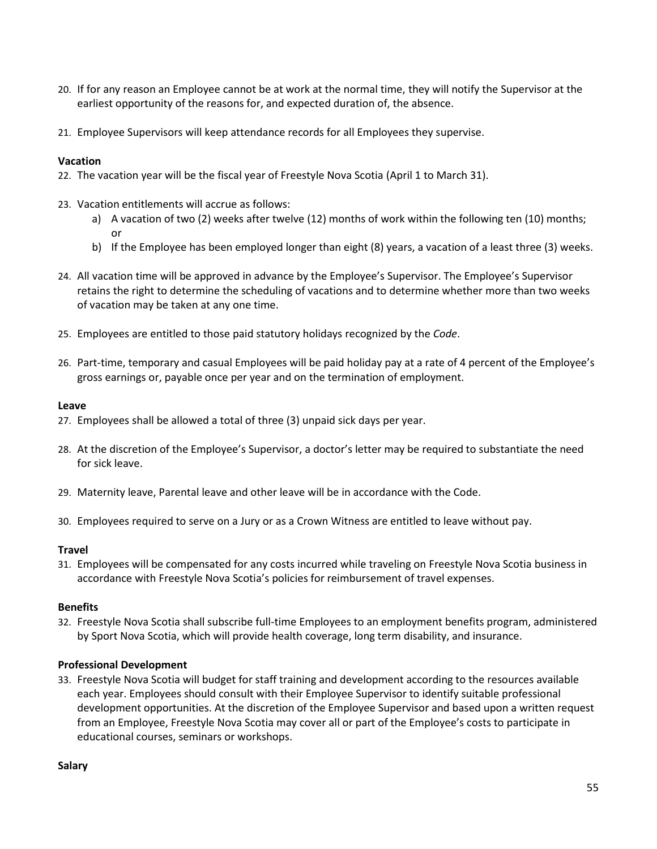- 20. If for any reason an Employee cannot be at work at the normal time, they will notify the Supervisor at the earliest opportunity of the reasons for, and expected duration of, the absence.
- 21. Employee Supervisors will keep attendance records for all Employees they supervise.

## **Vacation**

- 22. The vacation year will be the fiscal year of Freestyle Nova Scotia (April 1 to March 31).
- 23. Vacation entitlements will accrue as follows:
	- a) A vacation of two (2) weeks after twelve (12) months of work within the following ten (10) months; or
	- b) If the Employee has been employed longer than eight (8) years, a vacation of a least three (3) weeks.
- 24. All vacation time will be approved in advance by the Employee's Supervisor. The Employee's Supervisor retains the right to determine the scheduling of vacations and to determine whether more than two weeks of vacation may be taken at any one time.
- 25. Employees are entitled to those paid statutory holidays recognized by the *Code*.
- 26. Part-time, temporary and casual Employees will be paid holiday pay at a rate of 4 percent of the Employee's gross earnings or, payable once per year and on the termination of employment.

## **Leave**

- 27. Employees shall be allowed a total of three (3) unpaid sick days per year.
- 28. At the discretion of the Employee's Supervisor, a doctor's letter may be required to substantiate the need for sick leave.
- 29. Maternity leave, Parental leave and other leave will be in accordance with the Code.
- 30. Employees required to serve on a Jury or as a Crown Witness are entitled to leave without pay.

## **Travel**

31. Employees will be compensated for any costs incurred while traveling on Freestyle Nova Scotia business in accordance with Freestyle Nova Scotia's policies for reimbursement of travel expenses.

## **Benefits**

32. Freestyle Nova Scotia shall subscribe full-time Employees to an employment benefits program, administered by Sport Nova Scotia, which will provide health coverage, long term disability, and insurance.

## **Professional Development**

33. Freestyle Nova Scotia will budget for staff training and development according to the resources available each year. Employees should consult with their Employee Supervisor to identify suitable professional development opportunities. At the discretion of the Employee Supervisor and based upon a written request from an Employee, Freestyle Nova Scotia may cover all or part of the Employee's costs to participate in educational courses, seminars or workshops.

#### **Salary**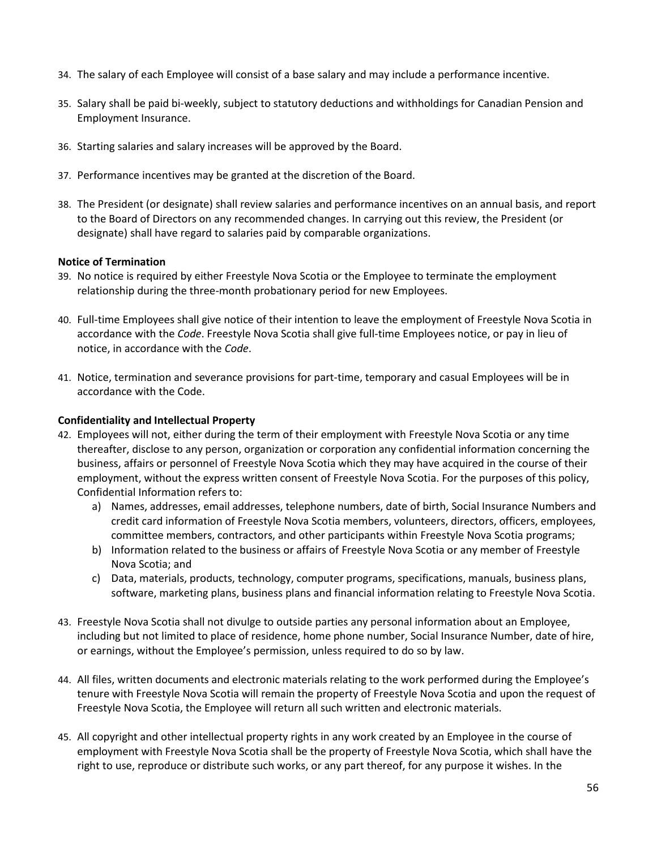- 34. The salary of each Employee will consist of a base salary and may include a performance incentive.
- 35. Salary shall be paid bi-weekly, subject to statutory deductions and withholdings for Canadian Pension and Employment Insurance.
- 36. Starting salaries and salary increases will be approved by the Board.
- 37. Performance incentives may be granted at the discretion of the Board.
- 38. The President (or designate) shall review salaries and performance incentives on an annual basis, and report to the Board of Directors on any recommended changes. In carrying out this review, the President (or designate) shall have regard to salaries paid by comparable organizations.

## **Notice of Termination**

- 39. No notice is required by either Freestyle Nova Scotia or the Employee to terminate the employment relationship during the three-month probationary period for new Employees.
- 40. Full-time Employees shall give notice of their intention to leave the employment of Freestyle Nova Scotia in accordance with the *Code*. Freestyle Nova Scotia shall give full-time Employees notice, or pay in lieu of notice, in accordance with the *Code*.
- 41. Notice, termination and severance provisions for part-time, temporary and casual Employees will be in accordance with the Code.

## **Confidentiality and Intellectual Property**

- 42. Employees will not, either during the term of their employment with Freestyle Nova Scotia or any time thereafter, disclose to any person, organization or corporation any confidential information concerning the business, affairs or personnel of Freestyle Nova Scotia which they may have acquired in the course of their employment, without the express written consent of Freestyle Nova Scotia. For the purposes of this policy, Confidential Information refers to:
	- a) Names, addresses, email addresses, telephone numbers, date of birth, Social Insurance Numbers and credit card information of Freestyle Nova Scotia members, volunteers, directors, officers, employees, committee members, contractors, and other participants within Freestyle Nova Scotia programs;
	- b) Information related to the business or affairs of Freestyle Nova Scotia or any member of Freestyle Nova Scotia; and
	- c) Data, materials, products, technology, computer programs, specifications, manuals, business plans, software, marketing plans, business plans and financial information relating to Freestyle Nova Scotia.
- 43. Freestyle Nova Scotia shall not divulge to outside parties any personal information about an Employee, including but not limited to place of residence, home phone number, Social Insurance Number, date of hire, or earnings, without the Employee's permission, unless required to do so by law.
- 44. All files, written documents and electronic materials relating to the work performed during the Employee's tenure with Freestyle Nova Scotia will remain the property of Freestyle Nova Scotia and upon the request of Freestyle Nova Scotia, the Employee will return all such written and electronic materials.
- 45. All copyright and other intellectual property rights in any work created by an Employee in the course of employment with Freestyle Nova Scotia shall be the property of Freestyle Nova Scotia, which shall have the right to use, reproduce or distribute such works, or any part thereof, for any purpose it wishes. In the